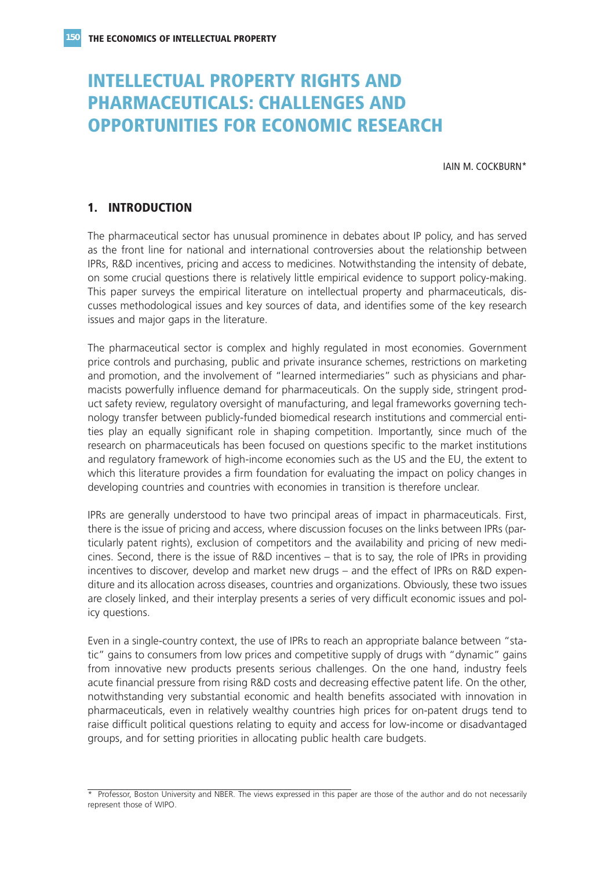# **INTELLECTUAL PROPERTY RIGHTS AND PHARMACEUTICALS: CHALLENGES AND OPPORTUNITIES FOR ECONOMIC RESEARCH**

IAIN M. COCKBURN\*

## **1. INTRODUCTION**

The pharmaceutical sector has unusual prominence in debates about IP policy, and has served as the front line for national and international controversies about the relationship between IPRs, R&D incentives, pricing and access to medicines. Notwithstanding the intensity of debate, on some crucial questions there is relatively little empirical evidence to support policy-making. This paper surveys the empirical literature on intellectual property and pharmaceuticals, discusses methodological issues and key sources of data, and identifies some of the key research issues and major gaps in the literature.

The pharmaceutical sector is complex and highly regulated in most economies. Government price controls and purchasing, public and private insurance schemes, restrictions on marketing and promotion, and the involvement of "learned intermediaries" such as physicians and pharmacists powerfully influence demand for pharmaceuticals. On the supply side, stringent product safety review, regulatory oversight of manufacturing, and legal frameworks governing technology transfer between publicly-funded biomedical research institutions and commercial entities play an equally significant role in shaping competition. Importantly, since much of the research on pharmaceuticals has been focused on questions specific to the market institutions and regulatory framework of high-income economies such as the US and the EU, the extent to which this literature provides a firm foundation for evaluating the impact on policy changes in developing countries and countries with economies in transition is therefore unclear.

IPRs are generally understood to have two principal areas of impact in pharmaceuticals. First, there is the issue of pricing and access, where discussion focuses on the links between IPRs (particularly patent rights), exclusion of competitors and the availability and pricing of new medicines. Second, there is the issue of R&D incentives – that is to say, the role of IPRs in providing incentives to discover, develop and market new drugs – and the effect of IPRs on R&D expenditure and its allocation across diseases, countries and organizations. Obviously, these two issues are closely linked, and their interplay presents a series of very difficult economic issues and policy questions.

Even in a single-country context, the use of IPRs to reach an appropriate balance between "static" gains to consumers from low prices and competitive supply of drugs with "dynamic" gains from innovative new products presents serious challenges. On the one hand, industry feels acute financial pressure from rising R&D costs and decreasing effective patent life. On the other, notwithstanding very substantial economic and health benefits associated with innovation in pharmaceuticals, even in relatively wealthy countries high prices for on-patent drugs tend to raise difficult political questions relating to equity and access for low-income or disadvantaged groups, and for setting priorities in allocating public health care budgets.

<sup>\*</sup> Professor, Boston University and NBER. The views expressed in this paper are those of the author and do not necessarily represent those of WIPO.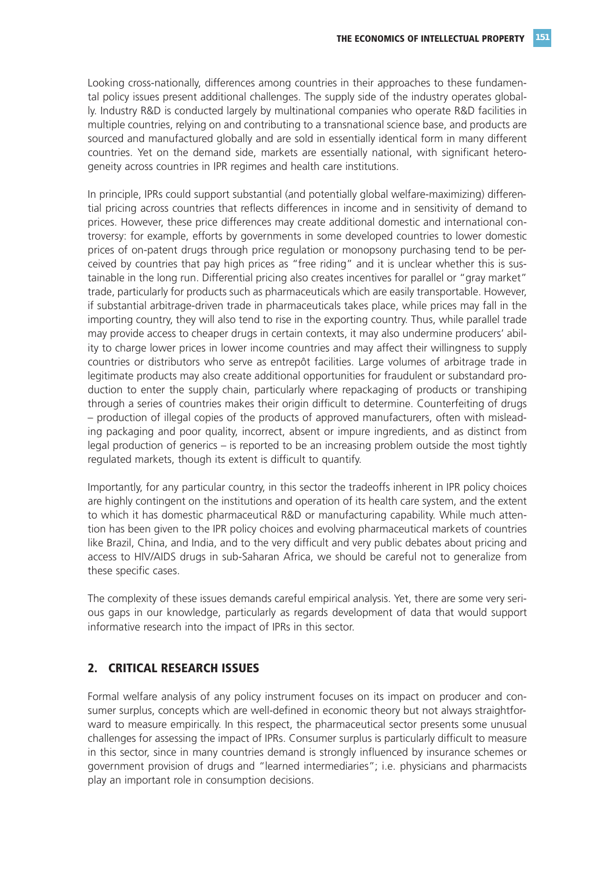Looking cross-nationally, differences among countries in their approaches to these fundamental policy issues present additional challenges. The supply side of the industry operates globally. Industry R&D is conducted largely by multinational companies who operate R&D facilities in multiple countries, relying on and contributing to a transnational science base, and products are sourced and manufactured globally and are sold in essentially identical form in many different countries. Yet on the demand side, markets are essentially national, with significant heterogeneity across countries in IPR regimes and health care institutions.

In principle, IPRs could support substantial (and potentially global welfare-maximizing) differential pricing across countries that reflects differences in income and in sensitivity of demand to prices. However, these price differences may create additional domestic and international controversy: for example, efforts by governments in some developed countries to lower domestic prices of on-patent drugs through price regulation or monopsony purchasing tend to be perceived by countries that pay high prices as "free riding" and it is unclear whether this is sustainable in the long run. Differential pricing also creates incentives for parallel or "gray market" trade, particularly for products such as pharmaceuticals which are easily transportable. However, if substantial arbitrage-driven trade in pharmaceuticals takes place, while prices may fall in the importing country, they will also tend to rise in the exporting country. Thus, while parallel trade may provide access to cheaper drugs in certain contexts, it may also undermine producers' ability to charge lower prices in lower income countries and may affect their willingness to supply countries or distributors who serve as entrepôt facilities. Large volumes of arbitrage trade in legitimate products may also create additional opportunities for fraudulent or substandard production to enter the supply chain, particularly where repackaging of products or transhiping through a series of countries makes their origin difficult to determine. Counterfeiting of drugs – production of illegal copies of the products of approved manufacturers, often with misleading packaging and poor quality, incorrect, absent or impure ingredients, and as distinct from legal production of generics – is reported to be an increasing problem outside the most tightly regulated markets, though its extent is difficult to quantify.

Importantly, for any particular country, in this sector the tradeoffs inherent in IPR policy choices are highly contingent on the institutions and operation of its health care system, and the extent to which it has domestic pharmaceutical R&D or manufacturing capability. While much attention has been given to the IPR policy choices and evolving pharmaceutical markets of countries like Brazil, China, and India, and to the very difficult and very public debates about pricing and access to HIV/AIDS drugs in sub-Saharan Africa, we should be careful not to generalize from these specific cases.

The complexity of these issues demands careful empirical analysis. Yet, there are some very serious gaps in our knowledge, particularly as regards development of data that would support informative research into the impact of IPRs in this sector.

## **2. CRITICAL RESEARCH ISSUES**

Formal welfare analysis of any policy instrument focuses on its impact on producer and consumer surplus, concepts which are well-defined in economic theory but not always straightforward to measure empirically. In this respect, the pharmaceutical sector presents some unusual challenges for assessing the impact of IPRs. Consumer surplus is particularly difficult to measure in this sector, since in many countries demand is strongly influenced by insurance schemes or government provision of drugs and "learned intermediaries"; i.e. physicians and pharmacists play an important role in consumption decisions.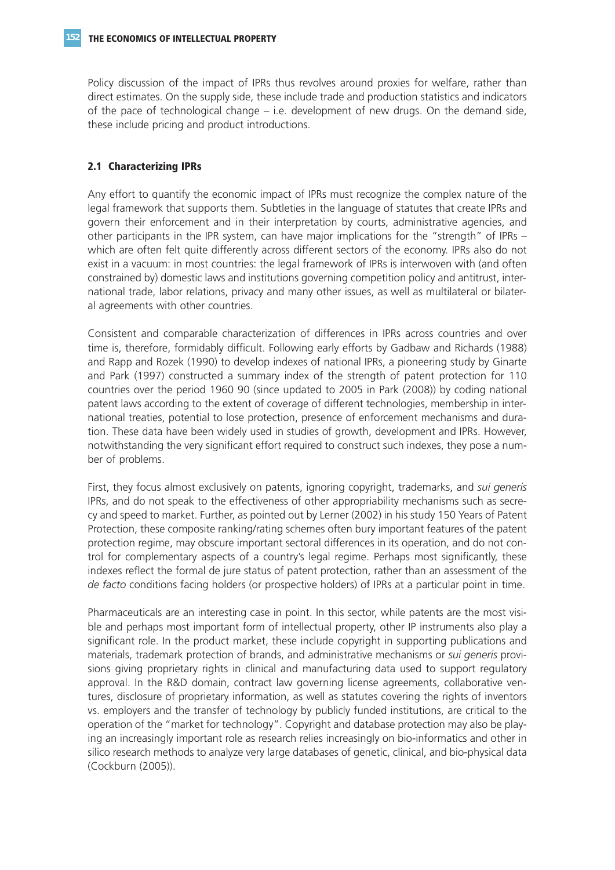Policy discussion of the impact of IPRs thus revolves around proxies for welfare, rather than direct estimates. On the supply side, these include trade and production statistics and indicators of the pace of technological change – i.e. development of new drugs. On the demand side, these include pricing and product introductions.

## **2.1 Characterizing IPRs**

Any effort to quantify the economic impact of IPRs must recognize the complex nature of the legal framework that supports them. Subtleties in the language of statutes that create IPRs and govern their enforcement and in their interpretation by courts, administrative agencies, and other participants in the IPR system, can have major implications for the "strength" of IPRs – which are often felt quite differently across different sectors of the economy. IPRs also do not exist in a vacuum: in most countries: the legal framework of IPRs is interwoven with (and often constrained by) domestic laws and institutions governing competition policy and antitrust, international trade, labor relations, privacy and many other issues, as well as multilateral or bilateral agreements with other countries.

Consistent and comparable characterization of differences in IPRs across countries and over time is, therefore, formidably difficult. Following early efforts by Gadbaw and Richards (1988) and Rapp and Rozek (1990) to develop indexes of national IPRs, a pioneering study by Ginarte and Park (1997) constructed a summary index of the strength of patent protection for 110 countries over the period 1960 90 (since updated to 2005 in Park (2008)) by coding national patent laws according to the extent of coverage of different technologies, membership in international treaties, potential to lose protection, presence of enforcement mechanisms and duration. These data have been widely used in studies of growth, development and IPRs. However, notwithstanding the very significant effort required to construct such indexes, they pose a number of problems.

First, they focus almost exclusively on patents, ignoring copyright, trademarks, and *sui generis* IPRs, and do not speak to the effectiveness of other appropriability mechanisms such as secrecy and speed to market. Further, as pointed out by Lerner (2002) in his study 150 Years of Patent Protection, these composite ranking/rating schemes often bury important features of the patent protection regime, may obscure important sectoral differences in its operation, and do not control for complementary aspects of a country's legal regime. Perhaps most significantly, these indexes reflect the formal de jure status of patent protection, rather than an assessment of the *de facto* conditions facing holders (or prospective holders) of IPRs at a particular point in time.

Pharmaceuticals are an interesting case in point. In this sector, while patents are the most visible and perhaps most important form of intellectual property, other IP instruments also play a significant role. In the product market, these include copyright in supporting publications and materials, trademark protection of brands, and administrative mechanisms or *sui generis* provisions giving proprietary rights in clinical and manufacturing data used to support regulatory approval. In the R&D domain, contract law governing license agreements, collaborative ventures, disclosure of proprietary information, as well as statutes covering the rights of inventors vs. employers and the transfer of technology by publicly funded institutions, are critical to the operation of the "market for technology". Copyright and database protection may also be playing an increasingly important role as research relies increasingly on bio-informatics and other in silico research methods to analyze very large databases of genetic, clinical, and bio-physical data (Cockburn (2005)).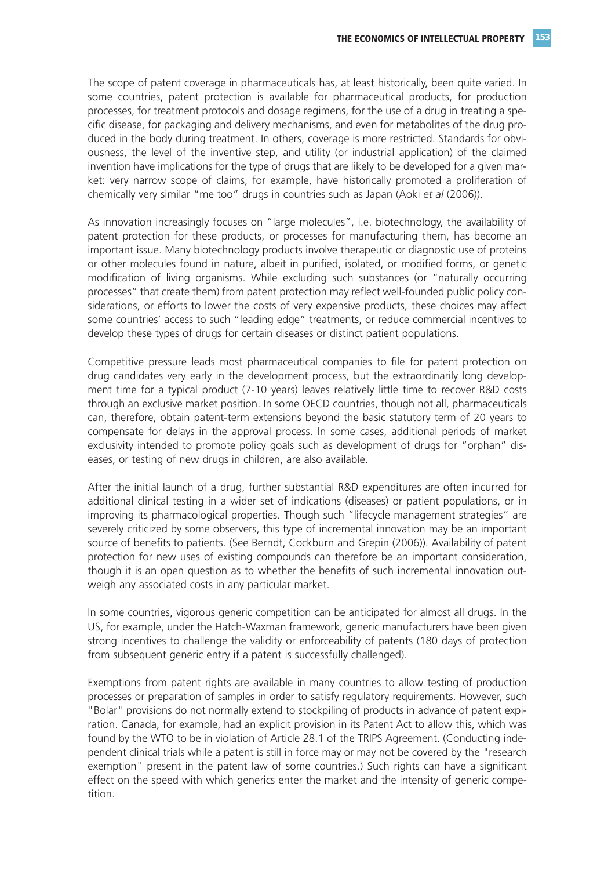The scope of patent coverage in pharmaceuticals has, at least historically, been quite varied. In some countries, patent protection is available for pharmaceutical products, for production processes, for treatment protocols and dosage regimens, for the use of a drug in treating a specific disease, for packaging and delivery mechanisms, and even for metabolites of the drug produced in the body during treatment. In others, coverage is more restricted. Standards for obviousness, the level of the inventive step, and utility (or industrial application) of the claimed invention have implications for the type of drugs that are likely to be developed for a given market: very narrow scope of claims, for example, have historically promoted a proliferation of chemically very similar "me too" drugs in countries such as Japan (Aoki *et al* (2006)).

As innovation increasingly focuses on "large molecules", i.e. biotechnology, the availability of patent protection for these products, or processes for manufacturing them, has become an important issue. Many biotechnology products involve therapeutic or diagnostic use of proteins or other molecules found in nature, albeit in purified, isolated, or modified forms, or genetic modification of living organisms. While excluding such substances (or "naturally occurring processes" that create them) from patent protection may reflect well-founded public policy considerations, or efforts to lower the costs of very expensive products, these choices may affect some countries' access to such "leading edge" treatments, or reduce commercial incentives to develop these types of drugs for certain diseases or distinct patient populations.

Competitive pressure leads most pharmaceutical companies to file for patent protection on drug candidates very early in the development process, but the extraordinarily long development time for a typical product (7-10 years) leaves relatively little time to recover R&D costs through an exclusive market position. In some OECD countries, though not all, pharmaceuticals can, therefore, obtain patent-term extensions beyond the basic statutory term of 20 years to compensate for delays in the approval process. In some cases, additional periods of market exclusivity intended to promote policy goals such as development of drugs for "orphan" diseases, or testing of new drugs in children, are also available.

After the initial launch of a drug, further substantial R&D expenditures are often incurred for additional clinical testing in a wider set of indications (diseases) or patient populations, or in improving its pharmacological properties. Though such "lifecycle management strategies" are severely criticized by some observers, this type of incremental innovation may be an important source of benefits to patients. (See Berndt, Cockburn and Grepin (2006)). Availability of patent protection for new uses of existing compounds can therefore be an important consideration, though it is an open question as to whether the benefits of such incremental innovation outweigh any associated costs in any particular market.

In some countries, vigorous generic competition can be anticipated for almost all drugs. In the US, for example, under the Hatch-Waxman framework, generic manufacturers have been given strong incentives to challenge the validity or enforceability of patents (180 days of protection from subsequent generic entry if a patent is successfully challenged).

Exemptions from patent rights are available in many countries to allow testing of production processes or preparation of samples in order to satisfy regulatory requirements. However, such "Bolar" provisions do not normally extend to stockpiling of products in advance of patent expiration. Canada, for example, had an explicit provision in its Patent Act to allow this, which was found by the WTO to be in violation of Article 28.1 of the TRIPS Agreement. (Conducting independent clinical trials while a patent is still in force may or may not be covered by the "research exemption" present in the patent law of some countries.) Such rights can have a significant effect on the speed with which generics enter the market and the intensity of generic competition.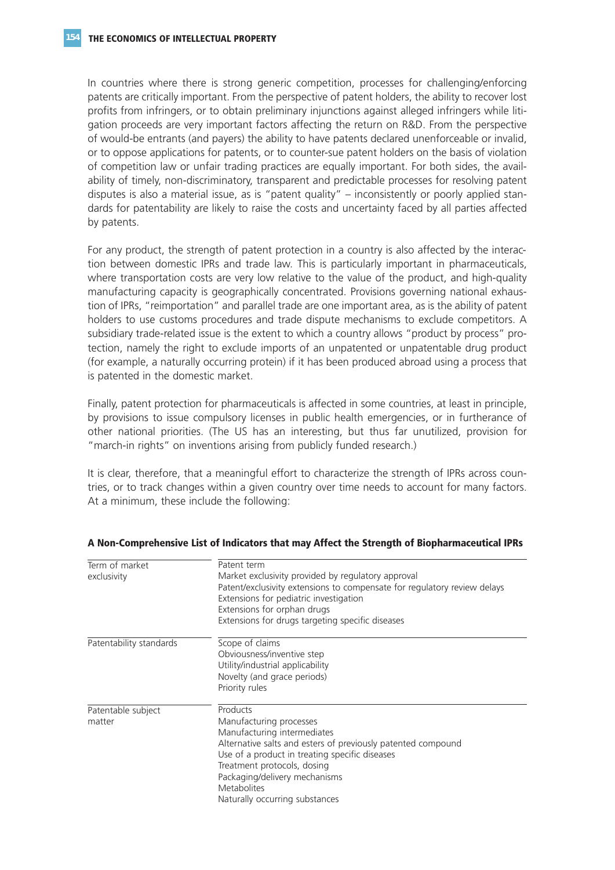In countries where there is strong generic competition, processes for challenging/enforcing patents are critically important. From the perspective of patent holders, the ability to recover lost profits from infringers, or to obtain preliminary injunctions against alleged infringers while litigation proceeds are very important factors affecting the return on R&D. From the perspective of would-be entrants (and payers) the ability to have patents declared unenforceable or invalid, or to oppose applications for patents, or to counter-sue patent holders on the basis of violation of competition law or unfair trading practices are equally important. For both sides, the availability of timely, non-discriminatory, transparent and predictable processes for resolving patent disputes is also a material issue, as is "patent quality" – inconsistently or poorly applied standards for patentability are likely to raise the costs and uncertainty faced by all parties affected by patents.

For any product, the strength of patent protection in a country is also affected by the interaction between domestic IPRs and trade law. This is particularly important in pharmaceuticals, where transportation costs are very low relative to the value of the product, and high-quality manufacturing capacity is geographically concentrated. Provisions governing national exhaustion of IPRs, "reimportation" and parallel trade are one important area, as is the ability of patent holders to use customs procedures and trade dispute mechanisms to exclude competitors. A subsidiary trade-related issue is the extent to which a country allows "product by process" protection, namely the right to exclude imports of an unpatented or unpatentable drug product (for example, a naturally occurring protein) if it has been produced abroad using a process that is patented in the domestic market.

Finally, patent protection for pharmaceuticals is affected in some countries, at least in principle, by provisions to issue compulsory licenses in public health emergencies, or in furtherance of other national priorities. (The US has an interesting, but thus far unutilized, provision for "march-in rights" on inventions arising from publicly funded research.)

It is clear, therefore, that a meaningful effort to characterize the strength of IPRs across countries, or to track changes within a given country over time needs to account for many factors. At a minimum, these include the following:

| Term of market<br>exclusivity | Patent term<br>Market exclusivity provided by regulatory approval<br>Patent/exclusivity extensions to compensate for regulatory review delays<br>Extensions for pediatric investigation<br>Extensions for orphan drugs<br>Extensions for drugs targeting specific diseases                                   |
|-------------------------------|--------------------------------------------------------------------------------------------------------------------------------------------------------------------------------------------------------------------------------------------------------------------------------------------------------------|
| Patentability standards       | Scope of claims<br>Obviousness/inventive step<br>Utility/industrial applicability<br>Novelty (and grace periods)<br>Priority rules                                                                                                                                                                           |
| Patentable subject<br>matter  | Products<br>Manufacturing processes<br>Manufacturing intermediates<br>Alternative salts and esters of previously patented compound<br>Use of a product in treating specific diseases<br>Treatment protocols, dosing<br>Packaging/delivery mechanisms<br><b>Metabolites</b><br>Naturally occurring substances |

#### **A Non-Comprehensive List of Indicators that may Affect the Strength of Biopharmaceutical IPRs**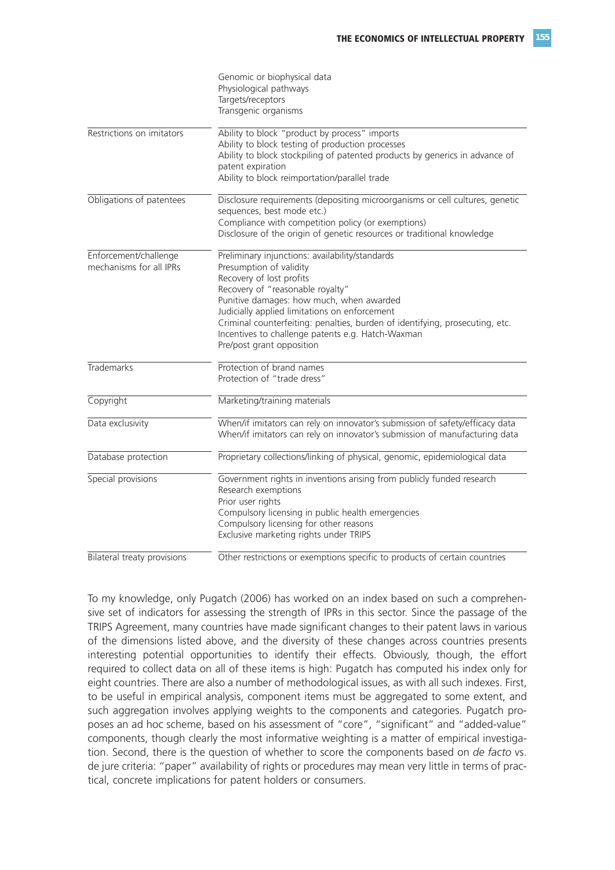|                                                  | Genomic or biophysical data<br>Physiological pathways<br>Targets/receptors<br>Transgenic organisms                                                                                                                                                                                                                                                                                                        |
|--------------------------------------------------|-----------------------------------------------------------------------------------------------------------------------------------------------------------------------------------------------------------------------------------------------------------------------------------------------------------------------------------------------------------------------------------------------------------|
| Restrictions on imitators                        | Ability to block "product by process" imports<br>Ability to block testing of production processes<br>Ability to block stockpiling of patented products by generics in advance of<br>patent expiration<br>Ability to block reimportation/parallel trade                                                                                                                                                    |
| Obligations of patentees                         | Disclosure requirements (depositing microorganisms or cell cultures, genetic<br>sequences, best mode etc.)<br>Compliance with competition policy (or exemptions)<br>Disclosure of the origin of genetic resources or traditional knowledge                                                                                                                                                                |
| Enforcement/challenge<br>mechanisms for all IPRs | Preliminary injunctions: availability/standards<br>Presumption of validity<br>Recovery of lost profits<br>Recovery of "reasonable royalty"<br>Punitive damages: how much, when awarded<br>Judicially applied limitations on enforcement<br>Criminal counterfeiting: penalties, burden of identifying, prosecuting, etc.<br>Incentives to challenge patents e.g. Hatch-Waxman<br>Pre/post grant opposition |
| <b>Trademarks</b>                                | Protection of brand names<br>Protection of "trade dress"                                                                                                                                                                                                                                                                                                                                                  |
| Copyright                                        | Marketing/training materials                                                                                                                                                                                                                                                                                                                                                                              |
| Data exclusivity                                 | When/if imitators can rely on innovator's submission of safety/efficacy data<br>When/if imitators can rely on innovator's submission of manufacturing data                                                                                                                                                                                                                                                |
| Database protection                              | Proprietary collections/linking of physical, genomic, epidemiological data                                                                                                                                                                                                                                                                                                                                |
| Special provisions                               | Government rights in inventions arising from publicly funded research<br>Research exemptions<br>Prior user rights<br>Compulsory licensing in public health emergencies<br>Compulsory licensing for other reasons<br>Exclusive marketing rights under TRIPS                                                                                                                                                |
| Bilateral treaty provisions                      | Other restrictions or exemptions specific to products of certain countries                                                                                                                                                                                                                                                                                                                                |

To my knowledge, only Pugatch (2006) has worked on an index based on such a comprehensive set of indicators for assessing the strength of IPRs in this sector. Since the passage of the TRIPS Agreement, many countries have made significant changes to their patent laws in various of the dimensions listed above, and the diversity of these changes across countries presents interesting potential opportunities to identify their effects. Obviously, though, the effort required to collect data on all of these items is high: Pugatch has computed his index only for eight countries. There are also a number of methodological issues, as with all such indexes. First, to be useful in empirical analysis, component items must be aggregated to some extent, and such aggregation involves applying weights to the components and categories. Pugatch proposes an ad hoc scheme, based on his assessment of "core", "significant" and "added-value" components, though clearly the most informative weighting is a matter of empirical investigation. Second, there is the question of whether to score the components based on *de facto* vs. de jure criteria: "paper" availability of rights or procedures may mean very little in terms of practical, concrete implications for patent holders or consumers.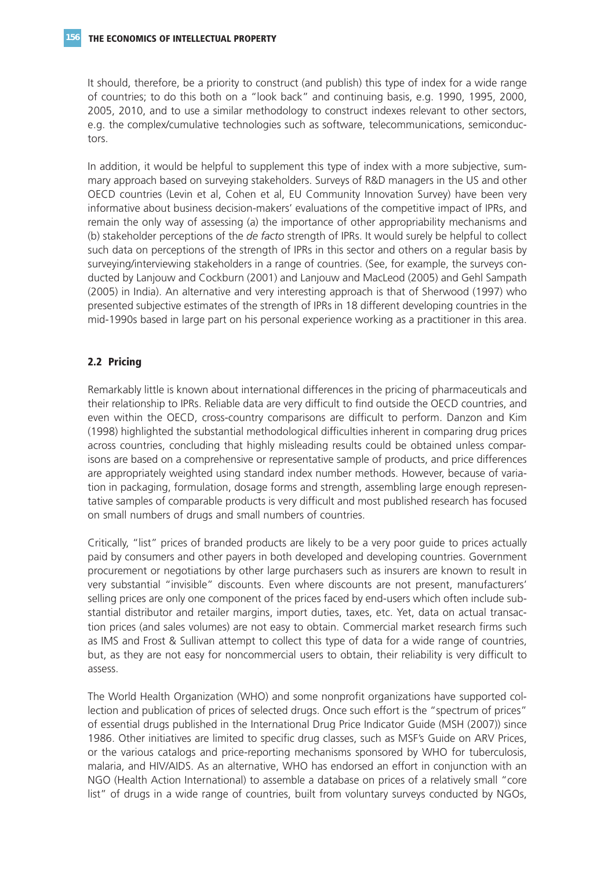It should, therefore, be a priority to construct (and publish) this type of index for a wide range of countries; to do this both on a "look back" and continuing basis, e.g. 1990, 1995, 2000, 2005, 2010, and to use a similar methodology to construct indexes relevant to other sectors, e.g. the complex/cumulative technologies such as software, telecommunications, semiconductors.

In addition, it would be helpful to supplement this type of index with a more subjective, summary approach based on surveying stakeholders. Surveys of R&D managers in the US and other OECD countries (Levin et al, Cohen et al, EU Community Innovation Survey) have been very informative about business decision-makers' evaluations of the competitive impact of IPRs, and remain the only way of assessing (a) the importance of other appropriability mechanisms and (b) stakeholder perceptions of the *de facto* strength of IPRs. It would surely be helpful to collect such data on perceptions of the strength of IPRs in this sector and others on a regular basis by surveying/interviewing stakeholders in a range of countries. (See, for example, the surveys conducted by Lanjouw and Cockburn (2001) and Lanjouw and MacLeod (2005) and Gehl Sampath (2005) in India). An alternative and very interesting approach is that of Sherwood (1997) who presented subjective estimates of the strength of IPRs in 18 different developing countries in the mid-1990s based in large part on his personal experience working as a practitioner in this area.

## **2.2 Pricing**

Remarkably little is known about international differences in the pricing of pharmaceuticals and their relationship to IPRs. Reliable data are very difficult to find outside the OECD countries, and even within the OECD, cross-country comparisons are difficult to perform. Danzon and Kim (1998) highlighted the substantial methodological difficulties inherent in comparing drug prices across countries, concluding that highly misleading results could be obtained unless comparisons are based on a comprehensive or representative sample of products, and price differences are appropriately weighted using standard index number methods. However, because of variation in packaging, formulation, dosage forms and strength, assembling large enough representative samples of comparable products is very difficult and most published research has focused on small numbers of drugs and small numbers of countries.

Critically, "list" prices of branded products are likely to be a very poor guide to prices actually paid by consumers and other payers in both developed and developing countries. Government procurement or negotiations by other large purchasers such as insurers are known to result in very substantial "invisible" discounts. Even where discounts are not present, manufacturers' selling prices are only one component of the prices faced by end-users which often include substantial distributor and retailer margins, import duties, taxes, etc. Yet, data on actual transaction prices (and sales volumes) are not easy to obtain. Commercial market research firms such as IMS and Frost & Sullivan attempt to collect this type of data for a wide range of countries, but, as they are not easy for noncommercial users to obtain, their reliability is very difficult to assess.

The World Health Organization (WHO) and some nonprofit organizations have supported collection and publication of prices of selected drugs. Once such effort is the "spectrum of prices" of essential drugs published in the International Drug Price Indicator Guide (MSH (2007)) since 1986. Other initiatives are limited to specific drug classes, such as MSF's Guide on ARV Prices, or the various catalogs and price-reporting mechanisms sponsored by WHO for tuberculosis, malaria, and HIV/AIDS. As an alternative, WHO has endorsed an effort in conjunction with an NGO (Health Action International) to assemble a database on prices of a relatively small "core list" of drugs in a wide range of countries, built from voluntary surveys conducted by NGOs,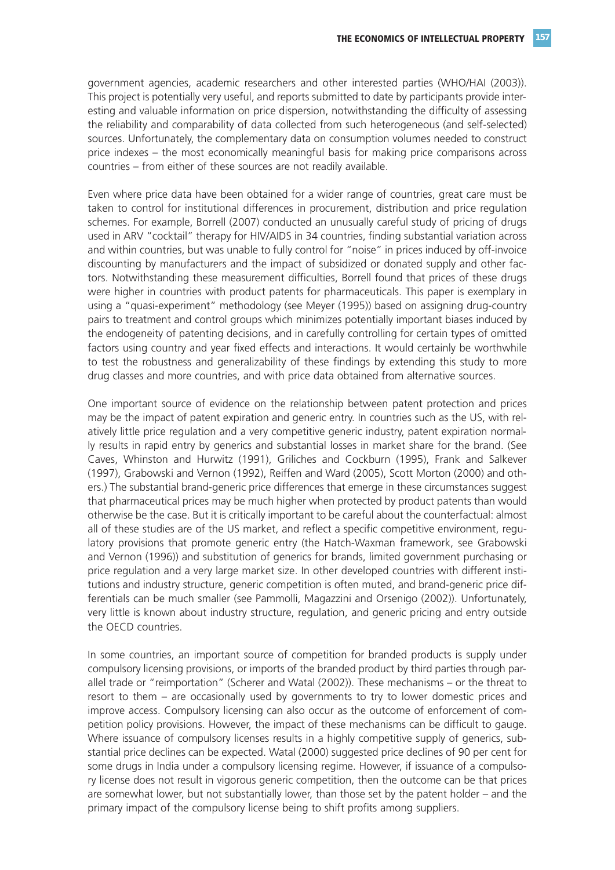government agencies, academic researchers and other interested parties (WHO/HAI (2003)). This project is potentially very useful, and reports submitted to date by participants provide interesting and valuable information on price dispersion, notwithstanding the difficulty of assessing the reliability and comparability of data collected from such heterogeneous (and self-selected) sources. Unfortunately, the complementary data on consumption volumes needed to construct price indexes – the most economically meaningful basis for making price comparisons across countries – from either of these sources are not readily available.

Even where price data have been obtained for a wider range of countries, great care must be taken to control for institutional differences in procurement, distribution and price regulation schemes. For example, Borrell (2007) conducted an unusually careful study of pricing of drugs used in ARV "cocktail" therapy for HIV/AIDS in 34 countries, finding substantial variation across and within countries, but was unable to fully control for "noise" in prices induced by off-invoice discounting by manufacturers and the impact of subsidized or donated supply and other factors. Notwithstanding these measurement difficulties, Borrell found that prices of these drugs were higher in countries with product patents for pharmaceuticals. This paper is exemplary in using a "quasi-experiment" methodology (see Meyer (1995)) based on assigning drug-country pairs to treatment and control groups which minimizes potentially important biases induced by the endogeneity of patenting decisions, and in carefully controlling for certain types of omitted factors using country and year fixed effects and interactions. It would certainly be worthwhile to test the robustness and generalizability of these findings by extending this study to more drug classes and more countries, and with price data obtained from alternative sources.

One important source of evidence on the relationship between patent protection and prices may be the impact of patent expiration and generic entry. In countries such as the US, with relatively little price regulation and a very competitive generic industry, patent expiration normally results in rapid entry by generics and substantial losses in market share for the brand. (See Caves, Whinston and Hurwitz (1991), Griliches and Cockburn (1995), Frank and Salkever (1997), Grabowski and Vernon (1992), Reiffen and Ward (2005), Scott Morton (2000) and others.) The substantial brand-generic price differences that emerge in these circumstances suggest that pharmaceutical prices may be much higher when protected by product patents than would otherwise be the case. But it is critically important to be careful about the counterfactual: almost all of these studies are of the US market, and reflect a specific competitive environment, regulatory provisions that promote generic entry (the Hatch-Waxman framework, see Grabowski and Vernon (1996)) and substitution of generics for brands, limited government purchasing or price regulation and a very large market size. In other developed countries with different institutions and industry structure, generic competition is often muted, and brand-generic price differentials can be much smaller (see Pammolli, Magazzini and Orsenigo (2002)). Unfortunately, very little is known about industry structure, regulation, and generic pricing and entry outside the OECD countries.

In some countries, an important source of competition for branded products is supply under compulsory licensing provisions, or imports of the branded product by third parties through parallel trade or "reimportation" (Scherer and Watal (2002)). These mechanisms – or the threat to resort to them – are occasionally used by governments to try to lower domestic prices and improve access. Compulsory licensing can also occur as the outcome of enforcement of competition policy provisions. However, the impact of these mechanisms can be difficult to gauge. Where issuance of compulsory licenses results in a highly competitive supply of generics, substantial price declines can be expected. Watal (2000) suggested price declines of 90 per cent for some drugs in India under a compulsory licensing regime. However, if issuance of a compulsory license does not result in vigorous generic competition, then the outcome can be that prices are somewhat lower, but not substantially lower, than those set by the patent holder – and the primary impact of the compulsory license being to shift profits among suppliers.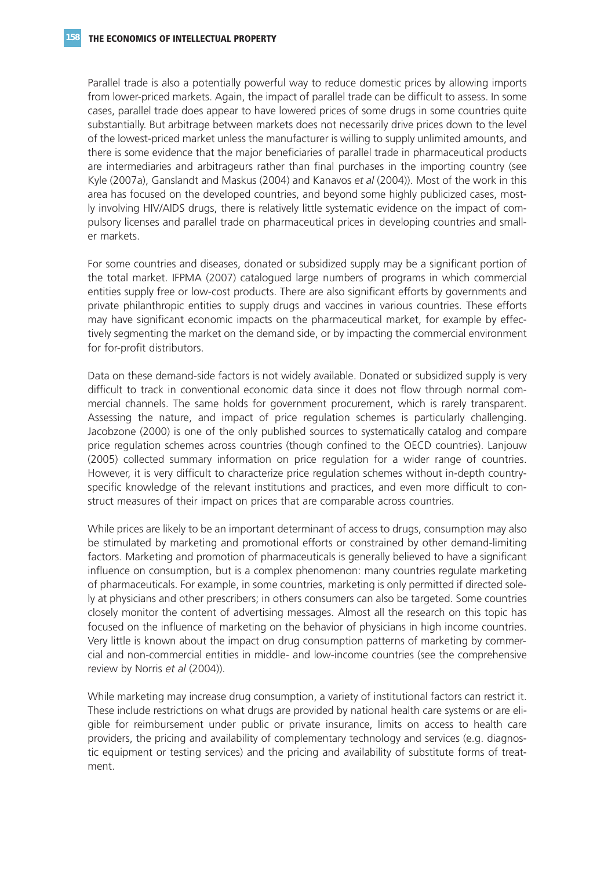Parallel trade is also a potentially powerful way to reduce domestic prices by allowing imports from lower-priced markets. Again, the impact of parallel trade can be difficult to assess. In some cases, parallel trade does appear to have lowered prices of some drugs in some countries quite substantially. But arbitrage between markets does not necessarily drive prices down to the level of the lowest-priced market unless the manufacturer is willing to supply unlimited amounts, and there is some evidence that the major beneficiaries of parallel trade in pharmaceutical products are intermediaries and arbitrageurs rather than final purchases in the importing country (see Kyle (2007a), Ganslandt and Maskus (2004) and Kanavos *et al* (2004)). Most of the work in this area has focused on the developed countries, and beyond some highly publicized cases, mostly involving HIV/AIDS drugs, there is relatively little systematic evidence on the impact of compulsory licenses and parallel trade on pharmaceutical prices in developing countries and smaller markets.

For some countries and diseases, donated or subsidized supply may be a significant portion of the total market. IFPMA (2007) catalogued large numbers of programs in which commercial entities supply free or low-cost products. There are also significant efforts by governments and private philanthropic entities to supply drugs and vaccines in various countries. These efforts may have significant economic impacts on the pharmaceutical market, for example by effectively segmenting the market on the demand side, or by impacting the commercial environment for for-profit distributors.

Data on these demand-side factors is not widely available. Donated or subsidized supply is very difficult to track in conventional economic data since it does not flow through normal commercial channels. The same holds for government procurement, which is rarely transparent. Assessing the nature, and impact of price regulation schemes is particularly challenging. Jacobzone (2000) is one of the only published sources to systematically catalog and compare price regulation schemes across countries (though confined to the OECD countries). Lanjouw (2005) collected summary information on price regulation for a wider range of countries. However, it is very difficult to characterize price regulation schemes without in-depth countryspecific knowledge of the relevant institutions and practices, and even more difficult to construct measures of their impact on prices that are comparable across countries.

While prices are likely to be an important determinant of access to drugs, consumption may also be stimulated by marketing and promotional efforts or constrained by other demand-limiting factors. Marketing and promotion of pharmaceuticals is generally believed to have a significant influence on consumption, but is a complex phenomenon: many countries regulate marketing of pharmaceuticals. For example, in some countries, marketing is only permitted if directed solely at physicians and other prescribers; in others consumers can also be targeted. Some countries closely monitor the content of advertising messages. Almost all the research on this topic has focused on the influence of marketing on the behavior of physicians in high income countries. Very little is known about the impact on drug consumption patterns of marketing by commercial and non-commercial entities in middle- and low-income countries (see the comprehensive review by Norris *et al* (2004)).

While marketing may increase drug consumption, a variety of institutional factors can restrict it. These include restrictions on what drugs are provided by national health care systems or are eligible for reimbursement under public or private insurance, limits on access to health care providers, the pricing and availability of complementary technology and services (e.g. diagnostic equipment or testing services) and the pricing and availability of substitute forms of treatment.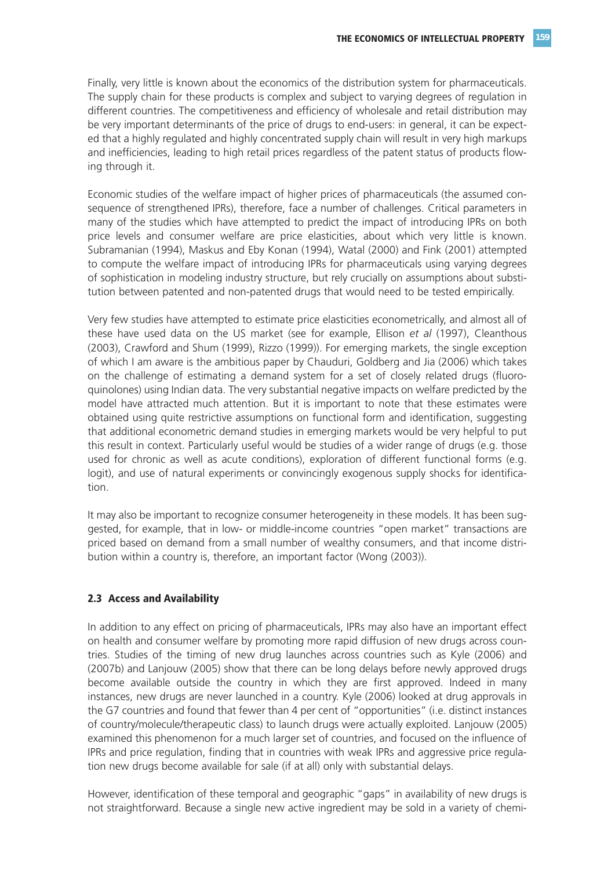Finally, very little is known about the economics of the distribution system for pharmaceuticals. The supply chain for these products is complex and subject to varying degrees of regulation in different countries. The competitiveness and efficiency of wholesale and retail distribution may be very important determinants of the price of drugs to end-users: in general, it can be expected that a highly regulated and highly concentrated supply chain will result in very high markups and inefficiencies, leading to high retail prices regardless of the patent status of products flowing through it.

Economic studies of the welfare impact of higher prices of pharmaceuticals (the assumed consequence of strengthened IPRs), therefore, face a number of challenges. Critical parameters in many of the studies which have attempted to predict the impact of introducing IPRs on both price levels and consumer welfare are price elasticities, about which very little is known. Subramanian (1994), Maskus and Eby Konan (1994), Watal (2000) and Fink (2001) attempted to compute the welfare impact of introducing IPRs for pharmaceuticals using varying degrees of sophistication in modeling industry structure, but rely crucially on assumptions about substitution between patented and non-patented drugs that would need to be tested empirically.

Very few studies have attempted to estimate price elasticities econometrically, and almost all of these have used data on the US market (see for example, Ellison *et al* (1997), Cleanthous (2003), Crawford and Shum (1999), Rizzo (1999)). For emerging markets, the single exception of which I am aware is the ambitious paper by Chauduri, Goldberg and Jia (2006) which takes on the challenge of estimating a demand system for a set of closely related drugs (fluoroquinolones) using Indian data. The very substantial negative impacts on welfare predicted by the model have attracted much attention. But it is important to note that these estimates were obtained using quite restrictive assumptions on functional form and identification, suggesting that additional econometric demand studies in emerging markets would be very helpful to put this result in context. Particularly useful would be studies of a wider range of drugs (e.g. those used for chronic as well as acute conditions), exploration of different functional forms (e.g. logit), and use of natural experiments or convincingly exogenous supply shocks for identification.

It may also be important to recognize consumer heterogeneity in these models. It has been suggested, for example, that in low- or middle-income countries "open market" transactions are priced based on demand from a small number of wealthy consumers, and that income distribution within a country is, therefore, an important factor (Wong (2003)).

#### **2.3 Access and Availability**

In addition to any effect on pricing of pharmaceuticals, IPRs may also have an important effect on health and consumer welfare by promoting more rapid diffusion of new drugs across countries. Studies of the timing of new drug launches across countries such as Kyle (2006) and (2007b) and Lanjouw (2005) show that there can be long delays before newly approved drugs become available outside the country in which they are first approved. Indeed in many instances, new drugs are never launched in a country. Kyle (2006) looked at drug approvals in the G7 countries and found that fewer than 4 per cent of "opportunities" (i.e. distinct instances of country/molecule/therapeutic class) to launch drugs were actually exploited. Lanjouw (2005) examined this phenomenon for a much larger set of countries, and focused on the influence of IPRs and price regulation, finding that in countries with weak IPRs and aggressive price regulation new drugs become available for sale (if at all) only with substantial delays.

However, identification of these temporal and geographic "gaps" in availability of new drugs is not straightforward. Because a single new active ingredient may be sold in a variety of chemi-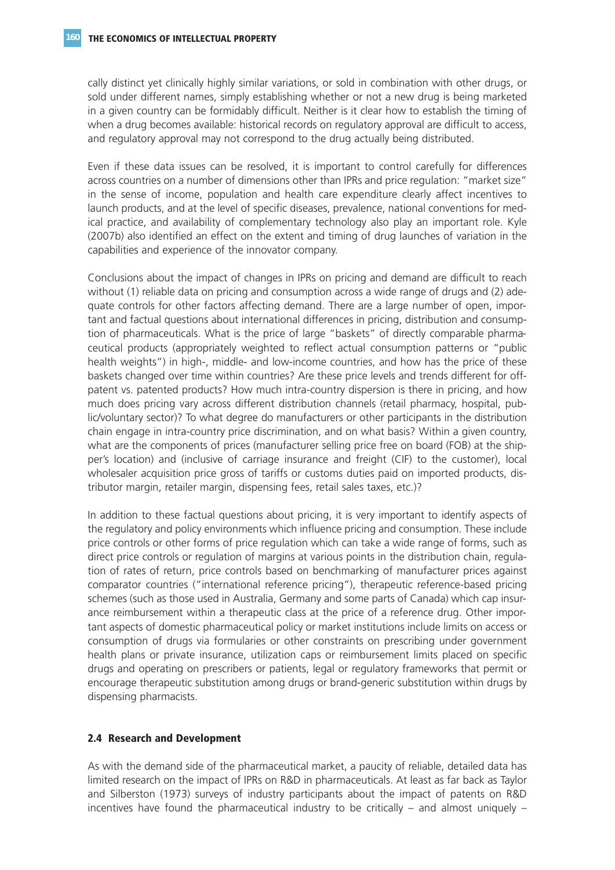cally distinct yet clinically highly similar variations, or sold in combination with other drugs, or sold under different names, simply establishing whether or not a new drug is being marketed in a given country can be formidably difficult. Neither is it clear how to establish the timing of when a drug becomes available: historical records on regulatory approval are difficult to access, and regulatory approval may not correspond to the drug actually being distributed.

Even if these data issues can be resolved, it is important to control carefully for differences across countries on a number of dimensions other than IPRs and price regulation: "market size" in the sense of income, population and health care expenditure clearly affect incentives to launch products, and at the level of specific diseases, prevalence, national conventions for medical practice, and availability of complementary technology also play an important role. Kyle (2007b) also identified an effect on the extent and timing of drug launches of variation in the capabilities and experience of the innovator company.

Conclusions about the impact of changes in IPRs on pricing and demand are difficult to reach without (1) reliable data on pricing and consumption across a wide range of drugs and (2) adequate controls for other factors affecting demand. There are a large number of open, important and factual questions about international differences in pricing, distribution and consumption of pharmaceuticals. What is the price of large "baskets" of directly comparable pharmaceutical products (appropriately weighted to reflect actual consumption patterns or "public health weights") in high-, middle- and low-income countries, and how has the price of these baskets changed over time within countries? Are these price levels and trends different for offpatent vs. patented products? How much intra-country dispersion is there in pricing, and how much does pricing vary across different distribution channels (retail pharmacy, hospital, public/voluntary sector)? To what degree do manufacturers or other participants in the distribution chain engage in intra-country price discrimination, and on what basis? Within a given country, what are the components of prices (manufacturer selling price free on board (FOB) at the shipper's location) and (inclusive of carriage insurance and freight (CIF) to the customer), local wholesaler acquisition price gross of tariffs or customs duties paid on imported products, distributor margin, retailer margin, dispensing fees, retail sales taxes, etc.)?

In addition to these factual questions about pricing, it is very important to identify aspects of the regulatory and policy environments which influence pricing and consumption. These include price controls or other forms of price regulation which can take a wide range of forms, such as direct price controls or regulation of margins at various points in the distribution chain, regulation of rates of return, price controls based on benchmarking of manufacturer prices against comparator countries ("international reference pricing"), therapeutic reference-based pricing schemes (such as those used in Australia, Germany and some parts of Canada) which cap insurance reimbursement within a therapeutic class at the price of a reference drug. Other important aspects of domestic pharmaceutical policy or market institutions include limits on access or consumption of drugs via formularies or other constraints on prescribing under government health plans or private insurance, utilization caps or reimbursement limits placed on specific drugs and operating on prescribers or patients, legal or regulatory frameworks that permit or encourage therapeutic substitution among drugs or brand-generic substitution within drugs by dispensing pharmacists.

### **2.4 Research and Development**

As with the demand side of the pharmaceutical market, a paucity of reliable, detailed data has limited research on the impact of IPRs on R&D in pharmaceuticals. At least as far back as Taylor and Silberston (1973) surveys of industry participants about the impact of patents on R&D incentives have found the pharmaceutical industry to be critically  $-$  and almost uniquely  $-$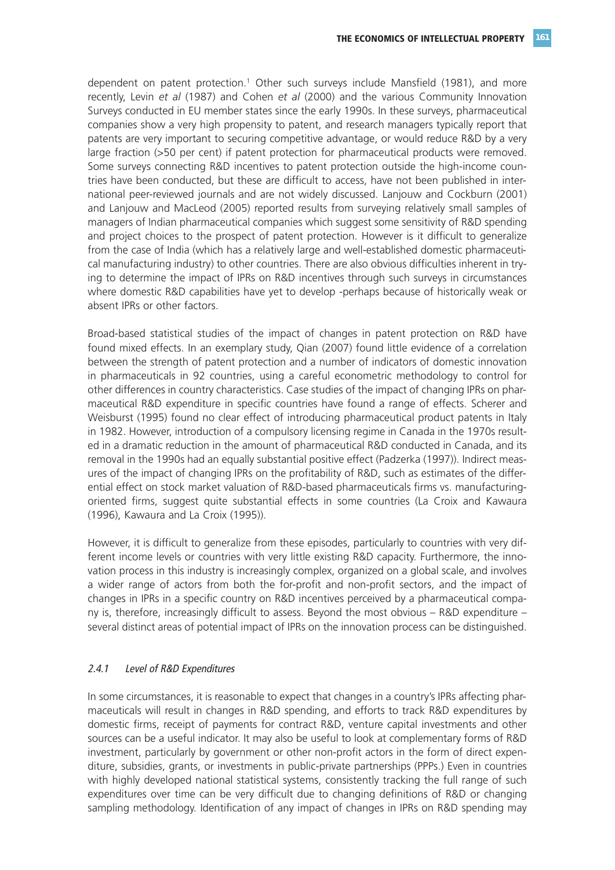dependent on patent protection.1 Other such surveys include Mansfield (1981), and more recently, Levin *et al* (1987) and Cohen *et al* (2000) and the various Community Innovation Surveys conducted in EU member states since the early 1990s. In these surveys, pharmaceutical companies show a very high propensity to patent, and research managers typically report that patents are very important to securing competitive advantage, or would reduce R&D by a very large fraction (>50 per cent) if patent protection for pharmaceutical products were removed. Some surveys connecting R&D incentives to patent protection outside the high-income countries have been conducted, but these are difficult to access, have not been published in international peer-reviewed journals and are not widely discussed. Lanjouw and Cockburn (2001) and Lanjouw and MacLeod (2005) reported results from surveying relatively small samples of managers of Indian pharmaceutical companies which suggest some sensitivity of R&D spending and project choices to the prospect of patent protection. However is it difficult to generalize from the case of India (which has a relatively large and well-established domestic pharmaceutical manufacturing industry) to other countries. There are also obvious difficulties inherent in trying to determine the impact of IPRs on R&D incentives through such surveys in circumstances where domestic R&D capabilities have yet to develop -perhaps because of historically weak or absent IPRs or other factors.

Broad-based statistical studies of the impact of changes in patent protection on R&D have found mixed effects. In an exemplary study, Qian (2007) found little evidence of a correlation between the strength of patent protection and a number of indicators of domestic innovation in pharmaceuticals in 92 countries, using a careful econometric methodology to control for other differences in country characteristics. Case studies of the impact of changing IPRs on pharmaceutical R&D expenditure in specific countries have found a range of effects. Scherer and Weisburst (1995) found no clear effect of introducing pharmaceutical product patents in Italy in 1982. However, introduction of a compulsory licensing regime in Canada in the 1970s resulted in a dramatic reduction in the amount of pharmaceutical R&D conducted in Canada, and its removal in the 1990s had an equally substantial positive effect (Padzerka (1997)). Indirect measures of the impact of changing IPRs on the profitability of R&D, such as estimates of the differential effect on stock market valuation of R&D-based pharmaceuticals firms vs. manufacturingoriented firms, suggest quite substantial effects in some countries (La Croix and Kawaura (1996), Kawaura and La Croix (1995)).

However, it is difficult to generalize from these episodes, particularly to countries with very different income levels or countries with very little existing R&D capacity. Furthermore, the innovation process in this industry is increasingly complex, organized on a global scale, and involves a wider range of actors from both the for-profit and non-profit sectors, and the impact of changes in IPRs in a specific country on R&D incentives perceived by a pharmaceutical company is, therefore, increasingly difficult to assess. Beyond the most obvious – R&D expenditure – several distinct areas of potential impact of IPRs on the innovation process can be distinguished.

#### 2.4.1 Level of R&D Expenditures

In some circumstances, it is reasonable to expect that changes in a country's IPRs affecting pharmaceuticals will result in changes in R&D spending, and efforts to track R&D expenditures by domestic firms, receipt of payments for contract R&D, venture capital investments and other sources can be a useful indicator. It may also be useful to look at complementary forms of R&D investment, particularly by government or other non-profit actors in the form of direct expenditure, subsidies, grants, or investments in public-private partnerships (PPPs.) Even in countries with highly developed national statistical systems, consistently tracking the full range of such expenditures over time can be very difficult due to changing definitions of R&D or changing sampling methodology. Identification of any impact of changes in IPRs on R&D spending may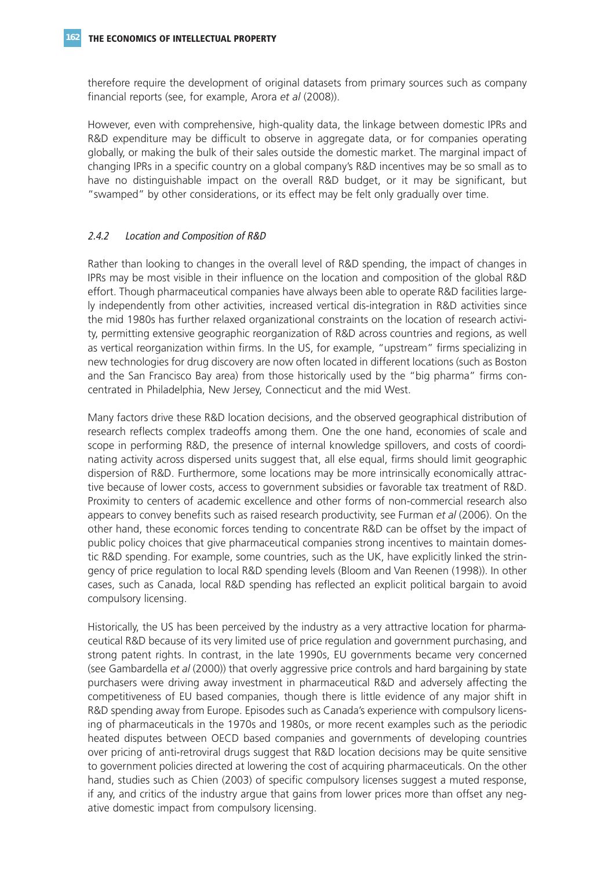therefore require the development of original datasets from primary sources such as company financial reports (see, for example, Arora *et al* (2008)).

However, even with comprehensive, high-quality data, the linkage between domestic IPRs and R&D expenditure may be difficult to observe in aggregate data, or for companies operating globally, or making the bulk of their sales outside the domestic market. The marginal impact of changing IPRs in a specific country on a global company's R&D incentives may be so small as to have no distinguishable impact on the overall R&D budget, or it may be significant, but "swamped" by other considerations, or its effect may be felt only gradually over time.

### 2.4.2 Location and Composition of R&D

Rather than looking to changes in the overall level of R&D spending, the impact of changes in IPRs may be most visible in their influence on the location and composition of the global R&D effort. Though pharmaceutical companies have always been able to operate R&D facilities largely independently from other activities, increased vertical dis-integration in R&D activities since the mid 1980s has further relaxed organizational constraints on the location of research activity, permitting extensive geographic reorganization of R&D across countries and regions, as well as vertical reorganization within firms. In the US, for example, "upstream" firms specializing in new technologies for drug discovery are now often located in different locations (such as Boston and the San Francisco Bay area) from those historically used by the "big pharma" firms concentrated in Philadelphia, New Jersey, Connecticut and the mid West.

Many factors drive these R&D location decisions, and the observed geographical distribution of research reflects complex tradeoffs among them. One the one hand, economies of scale and scope in performing R&D, the presence of internal knowledge spillovers, and costs of coordinating activity across dispersed units suggest that, all else equal, firms should limit geographic dispersion of R&D. Furthermore, some locations may be more intrinsically economically attractive because of lower costs, access to government subsidies or favorable tax treatment of R&D. Proximity to centers of academic excellence and other forms of non-commercial research also appears to convey benefits such as raised research productivity, see Furman *et al* (2006). On the other hand, these economic forces tending to concentrate R&D can be offset by the impact of public policy choices that give pharmaceutical companies strong incentives to maintain domestic R&D spending. For example, some countries, such as the UK, have explicitly linked the stringency of price regulation to local R&D spending levels (Bloom and Van Reenen (1998)). In other cases, such as Canada, local R&D spending has reflected an explicit political bargain to avoid compulsory licensing.

Historically, the US has been perceived by the industry as a very attractive location for pharmaceutical R&D because of its very limited use of price regulation and government purchasing, and strong patent rights. In contrast, in the late 1990s, EU governments became very concerned (see Gambardella *et al* (2000)) that overly aggressive price controls and hard bargaining by state purchasers were driving away investment in pharmaceutical R&D and adversely affecting the competitiveness of EU based companies, though there is little evidence of any major shift in R&D spending away from Europe. Episodes such as Canada's experience with compulsory licensing of pharmaceuticals in the 1970s and 1980s, or more recent examples such as the periodic heated disputes between OECD based companies and governments of developing countries over pricing of anti-retroviral drugs suggest that R&D location decisions may be quite sensitive to government policies directed at lowering the cost of acquiring pharmaceuticals. On the other hand, studies such as Chien (2003) of specific compulsory licenses suggest a muted response, if any, and critics of the industry argue that gains from lower prices more than offset any negative domestic impact from compulsory licensing.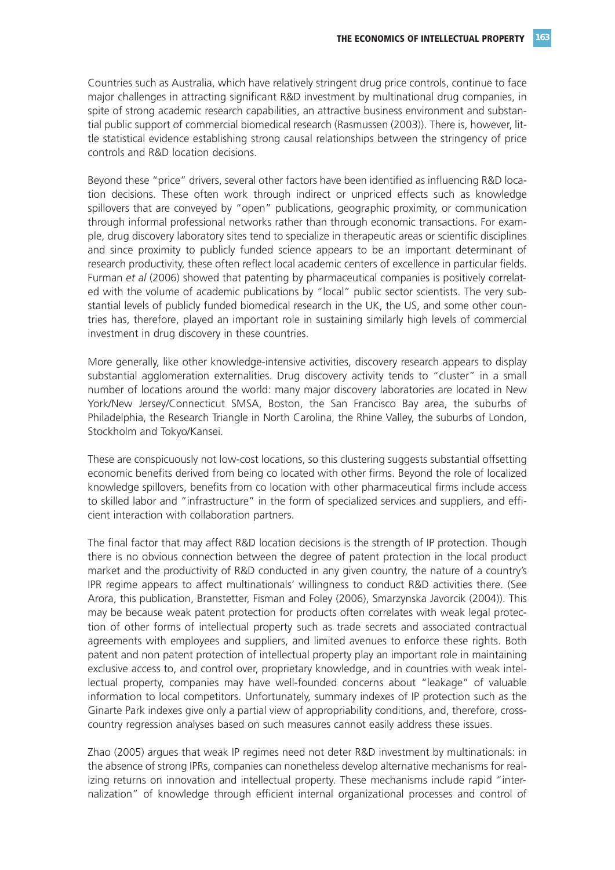Countries such as Australia, which have relatively stringent drug price controls, continue to face major challenges in attracting significant R&D investment by multinational drug companies, in spite of strong academic research capabilities, an attractive business environment and substantial public support of commercial biomedical research (Rasmussen (2003)). There is, however, little statistical evidence establishing strong causal relationships between the stringency of price controls and R&D location decisions.

Beyond these "price" drivers, several other factors have been identified as influencing R&D location decisions. These often work through indirect or unpriced effects such as knowledge spillovers that are conveyed by "open" publications, geographic proximity, or communication through informal professional networks rather than through economic transactions. For example, drug discovery laboratory sites tend to specialize in therapeutic areas or scientific disciplines and since proximity to publicly funded science appears to be an important determinant of research productivity, these often reflect local academic centers of excellence in particular fields. Furman *et al* (2006) showed that patenting by pharmaceutical companies is positively correlated with the volume of academic publications by "local" public sector scientists. The very substantial levels of publicly funded biomedical research in the UK, the US, and some other countries has, therefore, played an important role in sustaining similarly high levels of commercial investment in drug discovery in these countries.

More generally, like other knowledge-intensive activities, discovery research appears to display substantial agglomeration externalities. Drug discovery activity tends to "cluster" in a small number of locations around the world: many major discovery laboratories are located in New York/New Jersey/Connecticut SMSA, Boston, the San Francisco Bay area, the suburbs of Philadelphia, the Research Triangle in North Carolina, the Rhine Valley, the suburbs of London, Stockholm and Tokyo/Kansei.

These are conspicuously not low-cost locations, so this clustering suggests substantial offsetting economic benefits derived from being co located with other firms. Beyond the role of localized knowledge spillovers, benefits from co location with other pharmaceutical firms include access to skilled labor and "infrastructure" in the form of specialized services and suppliers, and efficient interaction with collaboration partners.

The final factor that may affect R&D location decisions is the strength of IP protection. Though there is no obvious connection between the degree of patent protection in the local product market and the productivity of R&D conducted in any given country, the nature of a country's IPR regime appears to affect multinationals' willingness to conduct R&D activities there. (See Arora, this publication, Branstetter, Fisman and Foley (2006), Smarzynska Javorcik (2004)). This may be because weak patent protection for products often correlates with weak legal protection of other forms of intellectual property such as trade secrets and associated contractual agreements with employees and suppliers, and limited avenues to enforce these rights. Both patent and non patent protection of intellectual property play an important role in maintaining exclusive access to, and control over, proprietary knowledge, and in countries with weak intellectual property, companies may have well-founded concerns about "leakage" of valuable information to local competitors. Unfortunately, summary indexes of IP protection such as the Ginarte Park indexes give only a partial view of appropriability conditions, and, therefore, crosscountry regression analyses based on such measures cannot easily address these issues.

Zhao (2005) argues that weak IP regimes need not deter R&D investment by multinationals: in the absence of strong IPRs, companies can nonetheless develop alternative mechanisms for realizing returns on innovation and intellectual property. These mechanisms include rapid "internalization" of knowledge through efficient internal organizational processes and control of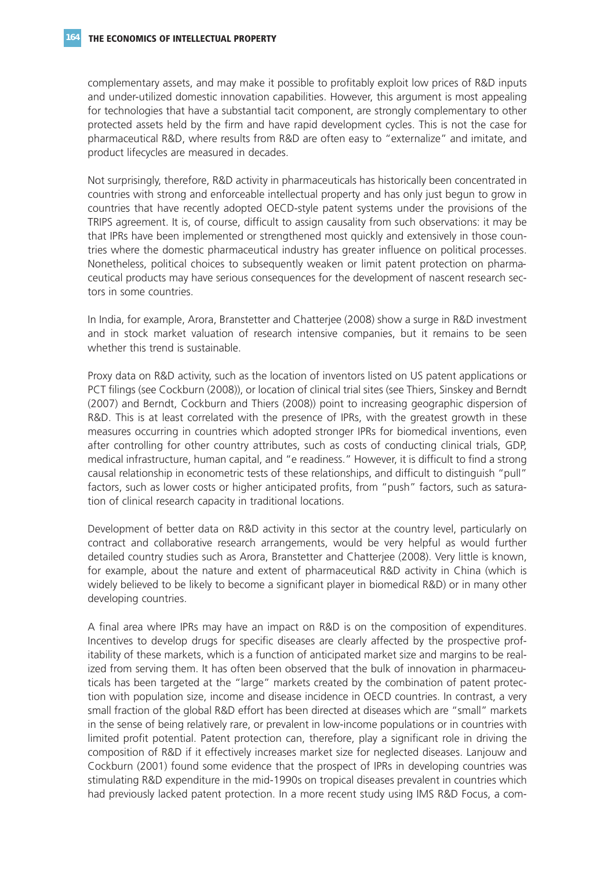complementary assets, and may make it possible to profitably exploit low prices of R&D inputs and under-utilized domestic innovation capabilities. However, this argument is most appealing for technologies that have a substantial tacit component, are strongly complementary to other protected assets held by the firm and have rapid development cycles. This is not the case for pharmaceutical R&D, where results from R&D are often easy to "externalize" and imitate, and product lifecycles are measured in decades.

Not surprisingly, therefore, R&D activity in pharmaceuticals has historically been concentrated in countries with strong and enforceable intellectual property and has only just begun to grow in countries that have recently adopted OECD-style patent systems under the provisions of the TRIPS agreement. It is, of course, difficult to assign causality from such observations: it may be that IPRs have been implemented or strengthened most quickly and extensively in those countries where the domestic pharmaceutical industry has greater influence on political processes. Nonetheless, political choices to subsequently weaken or limit patent protection on pharmaceutical products may have serious consequences for the development of nascent research sectors in some countries.

In India, for example, Arora, Branstetter and Chatterjee (2008) show a surge in R&D investment and in stock market valuation of research intensive companies, but it remains to be seen whether this trend is sustainable.

Proxy data on R&D activity, such as the location of inventors listed on US patent applications or PCT filings (see Cockburn (2008)), or location of clinical trial sites (see Thiers, Sinskey and Berndt (2007) and Berndt, Cockburn and Thiers (2008)) point to increasing geographic dispersion of R&D. This is at least correlated with the presence of IPRs, with the greatest growth in these measures occurring in countries which adopted stronger IPRs for biomedical inventions, even after controlling for other country attributes, such as costs of conducting clinical trials, GDP, medical infrastructure, human capital, and "e readiness." However, it is difficult to find a strong causal relationship in econometric tests of these relationships, and difficult to distinguish "pull" factors, such as lower costs or higher anticipated profits, from "push" factors, such as saturation of clinical research capacity in traditional locations.

Development of better data on R&D activity in this sector at the country level, particularly on contract and collaborative research arrangements, would be very helpful as would further detailed country studies such as Arora, Branstetter and Chatterjee (2008). Very little is known, for example, about the nature and extent of pharmaceutical R&D activity in China (which is widely believed to be likely to become a significant player in biomedical R&D) or in many other developing countries.

A final area where IPRs may have an impact on R&D is on the composition of expenditures. Incentives to develop drugs for specific diseases are clearly affected by the prospective profitability of these markets, which is a function of anticipated market size and margins to be realized from serving them. It has often been observed that the bulk of innovation in pharmaceuticals has been targeted at the "large" markets created by the combination of patent protection with population size, income and disease incidence in OECD countries. In contrast, a very small fraction of the global R&D effort has been directed at diseases which are "small" markets in the sense of being relatively rare, or prevalent in low-income populations or in countries with limited profit potential. Patent protection can, therefore, play a significant role in driving the composition of R&D if it effectively increases market size for neglected diseases. Lanjouw and Cockburn (2001) found some evidence that the prospect of IPRs in developing countries was stimulating R&D expenditure in the mid-1990s on tropical diseases prevalent in countries which had previously lacked patent protection. In a more recent study using IMS R&D Focus, a com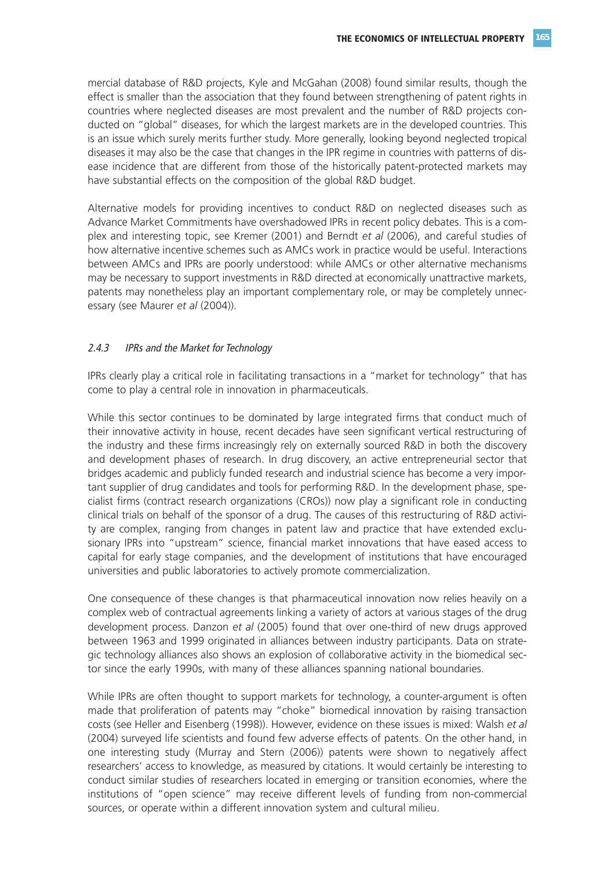mercial database of R&D projects, Kyle and McGahan (2008) found similar results, though the effect is smaller than the association that they found between strengthening of patent rights in countries where neglected diseases are most prevalent and the number of R&D projects conducted on "global" diseases, for which the largest markets are in the developed countries. This is an issue which surely merits further study. More generally, looking beyond neglected tropical diseases it may also be the case that changes in the IPR regime in countries with patterns of disease incidence that are different from those of the historically patent-protected markets may have substantial effects on the composition of the global R&D budget.

Alternative models for providing incentives to conduct R&D on neglected diseases such as Advance Market Commitments have overshadowed IPRs in recent policy debates. This is a complex and interesting topic, see Kremer (2001) and Berndt *et al* (2006), and careful studies of how alternative incentive schemes such as AMCs work in practice would be useful. Interactions between AMCs and IPRs are poorly understood: while AMCs or other alternative mechanisms may be necessary to support investments in R&D directed at economically unattractive markets, patents may nonetheless play an important complementary role, or may be completely unnecessary (see Maurer *et al* (2004)).

#### 2.4.3 IPRs and the Market for Technology

IPRs clearly play a critical role in facilitating transactions in a "market for technology" that has come to play a central role in innovation in pharmaceuticals.

While this sector continues to be dominated by large integrated firms that conduct much of their innovative activity in house, recent decades have seen significant vertical restructuring of the industry and these firms increasingly rely on externally sourced R&D in both the discovery and development phases of research. In drug discovery, an active entrepreneurial sector that bridges academic and publicly funded research and industrial science has become a very important supplier of drug candidates and tools for performing R&D. In the development phase, specialist firms (contract research organizations (CROs)) now play a significant role in conducting clinical trials on behalf of the sponsor of a drug. The causes of this restructuring of R&D activity are complex, ranging from changes in patent law and practice that have extended exclusionary IPRs into "upstream" science, financial market innovations that have eased access to capital for early stage companies, and the development of institutions that have encouraged universities and public laboratories to actively promote commercialization.

One consequence of these changes is that pharmaceutical innovation now relies heavily on a complex web of contractual agreements linking a variety of actors at various stages of the drug development process. Danzon *et al* (2005) found that over one-third of new drugs approved between 1963 and 1999 originated in alliances between industry participants. Data on strategic technology alliances also shows an explosion of collaborative activity in the biomedical sector since the early 1990s, with many of these alliances spanning national boundaries.

While IPRs are often thought to support markets for technology, a counter-argument is often made that proliferation of patents may "choke" biomedical innovation by raising transaction costs (see Heller and Eisenberg (1998)). However, evidence on these issues is mixed: Walsh *et al* (2004) surveyed life scientists and found few adverse effects of patents. On the other hand, in one interesting study (Murray and Stern (2006)) patents were shown to negatively affect researchers' access to knowledge, as measured by citations. It would certainly be interesting to conduct similar studies of researchers located in emerging or transition economies, where the institutions of "open science" may receive different levels of funding from non-commercial sources, or operate within a different innovation system and cultural milieu.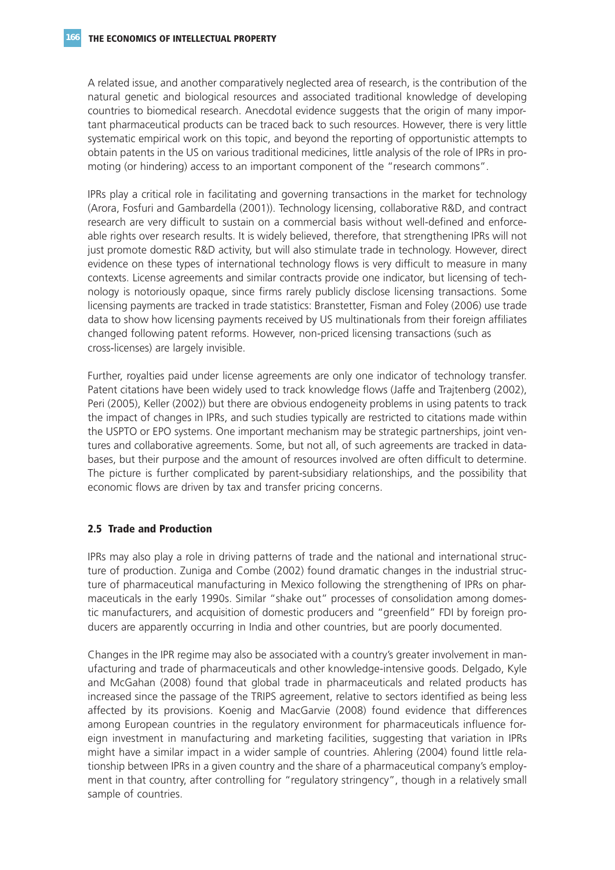A related issue, and another comparatively neglected area of research, is the contribution of the natural genetic and biological resources and associated traditional knowledge of developing countries to biomedical research. Anecdotal evidence suggests that the origin of many important pharmaceutical products can be traced back to such resources. However, there is very little systematic empirical work on this topic, and beyond the reporting of opportunistic attempts to obtain patents in the US on various traditional medicines, little analysis of the role of IPRs in promoting (or hindering) access to an important component of the "research commons".

IPRs play a critical role in facilitating and governing transactions in the market for technology (Arora, Fosfuri and Gambardella (2001)). Technology licensing, collaborative R&D, and contract research are very difficult to sustain on a commercial basis without well-defined and enforceable rights over research results. It is widely believed, therefore, that strengthening IPRs will not just promote domestic R&D activity, but will also stimulate trade in technology. However, direct evidence on these types of international technology flows is very difficult to measure in many contexts. License agreements and similar contracts provide one indicator, but licensing of technology is notoriously opaque, since firms rarely publicly disclose licensing transactions. Some licensing payments are tracked in trade statistics: Branstetter, Fisman and Foley (2006) use trade data to show how licensing payments received by US multinationals from their foreign affiliates changed following patent reforms. However, non-priced licensing transactions (such as cross-licenses) are largely invisible.

Further, royalties paid under license agreements are only one indicator of technology transfer. Patent citations have been widely used to track knowledge flows (Jaffe and Trajtenberg (2002), Peri (2005), Keller (2002)) but there are obvious endogeneity problems in using patents to track the impact of changes in IPRs, and such studies typically are restricted to citations made within the USPTO or EPO systems. One important mechanism may be strategic partnerships, joint ventures and collaborative agreements. Some, but not all, of such agreements are tracked in databases, but their purpose and the amount of resources involved are often difficult to determine. The picture is further complicated by parent-subsidiary relationships, and the possibility that economic flows are driven by tax and transfer pricing concerns.

### **2.5 Trade and Production**

IPRs may also play a role in driving patterns of trade and the national and international structure of production. Zuniga and Combe (2002) found dramatic changes in the industrial structure of pharmaceutical manufacturing in Mexico following the strengthening of IPRs on pharmaceuticals in the early 1990s. Similar "shake out" processes of consolidation among domestic manufacturers, and acquisition of domestic producers and "greenfield" FDI by foreign producers are apparently occurring in India and other countries, but are poorly documented.

Changes in the IPR regime may also be associated with a country's greater involvement in manufacturing and trade of pharmaceuticals and other knowledge-intensive goods. Delgado, Kyle and McGahan (2008) found that global trade in pharmaceuticals and related products has increased since the passage of the TRIPS agreement, relative to sectors identified as being less affected by its provisions. Koenig and MacGarvie (2008) found evidence that differences among European countries in the regulatory environment for pharmaceuticals influence foreign investment in manufacturing and marketing facilities, suggesting that variation in IPRs might have a similar impact in a wider sample of countries. Ahlering (2004) found little relationship between IPRs in a given country and the share of a pharmaceutical company's employment in that country, after controlling for "regulatory stringency", though in a relatively small sample of countries.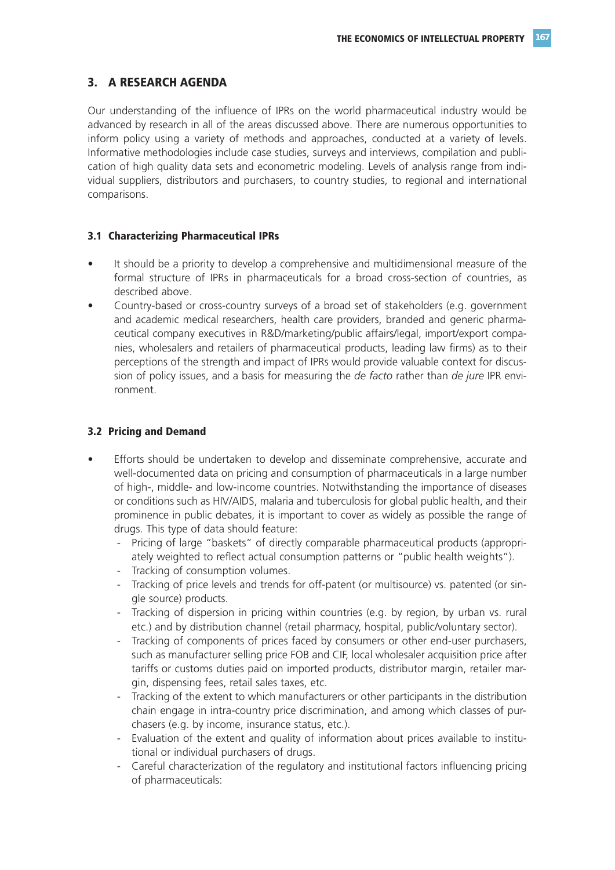## **3. A RESEARCH AGENDA**

Our understanding of the influence of IPRs on the world pharmaceutical industry would be advanced by research in all of the areas discussed above. There are numerous opportunities to inform policy using a variety of methods and approaches, conducted at a variety of levels. Informative methodologies include case studies, surveys and interviews, compilation and publication of high quality data sets and econometric modeling. Levels of analysis range from individual suppliers, distributors and purchasers, to country studies, to regional and international comparisons.

#### **3.1 Characterizing Pharmaceutical IPRs**

- It should be a priority to develop a comprehensive and multidimensional measure of the formal structure of IPRs in pharmaceuticals for a broad cross-section of countries, as described above.
- Country-based or cross-country surveys of a broad set of stakeholders (e.g. government and academic medical researchers, health care providers, branded and generic pharmaceutical company executives in R&D/marketing/public affairs/legal, import/export companies, wholesalers and retailers of pharmaceutical products, leading law firms) as to their perceptions of the strength and impact of IPRs would provide valuable context for discussion of policy issues, and a basis for measuring the *de facto* rather than *de jure* IPR environment.

#### **3.2 Pricing and Demand**

- Efforts should be undertaken to develop and disseminate comprehensive, accurate and well-documented data on pricing and consumption of pharmaceuticals in a large number of high-, middle- and low-income countries. Notwithstanding the importance of diseases or conditions such as HIV/AIDS, malaria and tuberculosis for global public health, and their prominence in public debates, it is important to cover as widely as possible the range of drugs. This type of data should feature:
	- Pricing of large "baskets" of directly comparable pharmaceutical products (appropriately weighted to reflect actual consumption patterns or "public health weights").
	- Tracking of consumption volumes.
	- Tracking of price levels and trends for off-patent (or multisource) vs. patented (or single source) products.
	- Tracking of dispersion in pricing within countries (e.g. by region, by urban vs. rural etc.) and by distribution channel (retail pharmacy, hospital, public/voluntary sector).
	- Tracking of components of prices faced by consumers or other end-user purchasers, such as manufacturer selling price FOB and CIF, local wholesaler acquisition price after tariffs or customs duties paid on imported products, distributor margin, retailer margin, dispensing fees, retail sales taxes, etc.
	- Tracking of the extent to which manufacturers or other participants in the distribution chain engage in intra-country price discrimination, and among which classes of purchasers (e.g. by income, insurance status, etc.).
	- Evaluation of the extent and quality of information about prices available to institutional or individual purchasers of drugs.
	- Careful characterization of the regulatory and institutional factors influencing pricing of pharmaceuticals: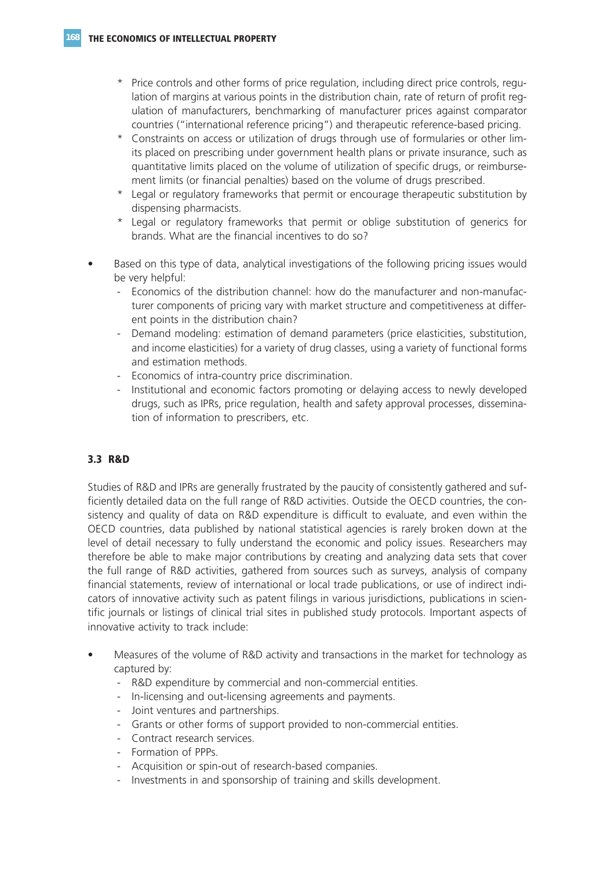- \* Price controls and other forms of price regulation, including direct price controls, regulation of margins at various points in the distribution chain, rate of return of profit regulation of manufacturers, benchmarking of manufacturer prices against comparator countries ("international reference pricing") and therapeutic reference-based pricing.
- \* Constraints on access or utilization of drugs through use of formularies or other limits placed on prescribing under government health plans or private insurance, such as quantitative limits placed on the volume of utilization of specific drugs, or reimbursement limits (or financial penalties) based on the volume of drugs prescribed.
- Legal or regulatory frameworks that permit or encourage therapeutic substitution by dispensing pharmacists.
- \* Legal or regulatory frameworks that permit or oblige substitution of generics for brands. What are the financial incentives to do so?
- Based on this type of data, analytical investigations of the following pricing issues would be very helpful:
	- Economics of the distribution channel: how do the manufacturer and non-manufacturer components of pricing vary with market structure and competitiveness at different points in the distribution chain?
	- Demand modeling: estimation of demand parameters (price elasticities, substitution, and income elasticities) for a variety of drug classes, using a variety of functional forms and estimation methods.
	- Economics of intra-country price discrimination.
	- Institutional and economic factors promoting or delaying access to newly developed drugs, such as IPRs, price regulation, health and safety approval processes, dissemination of information to prescribers, etc.

#### **3.3 R&D**

Studies of R&D and IPRs are generally frustrated by the paucity of consistently gathered and sufficiently detailed data on the full range of R&D activities. Outside the OECD countries, the consistency and quality of data on R&D expenditure is difficult to evaluate, and even within the OECD countries, data published by national statistical agencies is rarely broken down at the level of detail necessary to fully understand the economic and policy issues. Researchers may therefore be able to make major contributions by creating and analyzing data sets that cover the full range of R&D activities, gathered from sources such as surveys, analysis of company financial statements, review of international or local trade publications, or use of indirect indicators of innovative activity such as patent filings in various jurisdictions, publications in scientific journals or listings of clinical trial sites in published study protocols. Important aspects of innovative activity to track include:

- Measures of the volume of R&D activity and transactions in the market for technology as captured by:
	- R&D expenditure by commercial and non-commercial entities.
	- In-licensing and out-licensing agreements and payments.
	- Joint ventures and partnerships.
	- Grants or other forms of support provided to non-commercial entities.
	- Contract research services.
	- Formation of PPPs.
	- Acquisition or spin-out of research-based companies.
	- Investments in and sponsorship of training and skills development.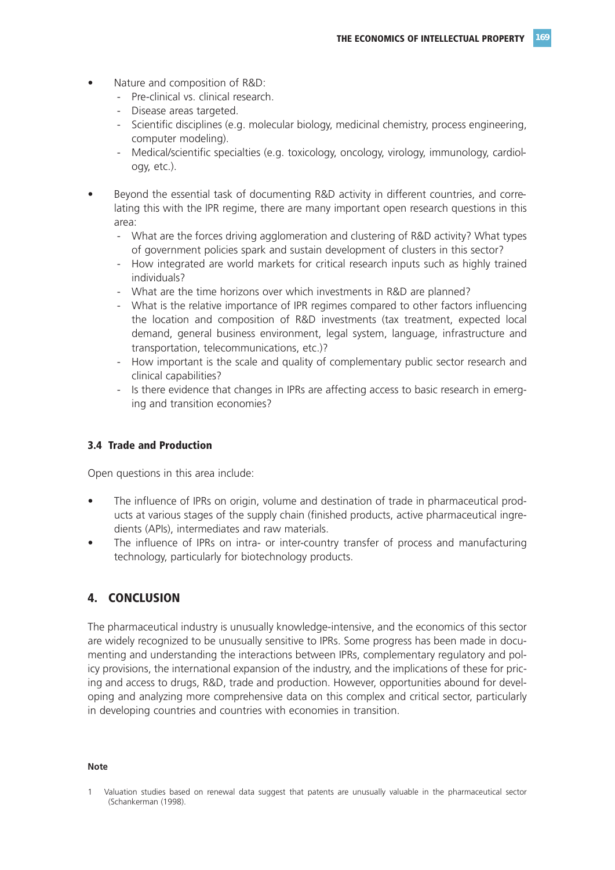- Nature and composition of R&D:
	- Pre-clinical vs. clinical research.
	- Disease areas targeted.
	- Scientific disciplines (e.g. molecular biology, medicinal chemistry, process engineering, computer modeling).
	- Medical/scientific specialties (e.g. toxicology, oncology, virology, immunology, cardiology, etc.).
- Beyond the essential task of documenting R&D activity in different countries, and correlating this with the IPR regime, there are many important open research questions in this area:
	- What are the forces driving agglomeration and clustering of R&D activity? What types of government policies spark and sustain development of clusters in this sector?
	- How integrated are world markets for critical research inputs such as highly trained individuals?
	- What are the time horizons over which investments in R&D are planned?
	- What is the relative importance of IPR regimes compared to other factors influencing the location and composition of R&D investments (tax treatment, expected local demand, general business environment, legal system, language, infrastructure and transportation, telecommunications, etc.)?
	- How important is the scale and quality of complementary public sector research and clinical capabilities?
	- Is there evidence that changes in IPRs are affecting access to basic research in emerging and transition economies?

#### **3.4 Trade and Production**

Open questions in this area include:

- The influence of IPRs on origin, volume and destination of trade in pharmaceutical products at various stages of the supply chain (finished products, active pharmaceutical ingredients (APIs), intermediates and raw materials.
- The influence of IPRs on intra- or inter-country transfer of process and manufacturing technology, particularly for biotechnology products.

## **4. CONCLUSION**

The pharmaceutical industry is unusually knowledge-intensive, and the economics of this sector are widely recognized to be unusually sensitive to IPRs. Some progress has been made in documenting and understanding the interactions between IPRs, complementary regulatory and policy provisions, the international expansion of the industry, and the implications of these for pricing and access to drugs, R&D, trade and production. However, opportunities abound for developing and analyzing more comprehensive data on this complex and critical sector, particularly in developing countries and countries with economies in transition.

#### **Note**

<sup>1</sup> Valuation studies based on renewal data suggest that patents are unusually valuable in the pharmaceutical sector (Schankerman (1998).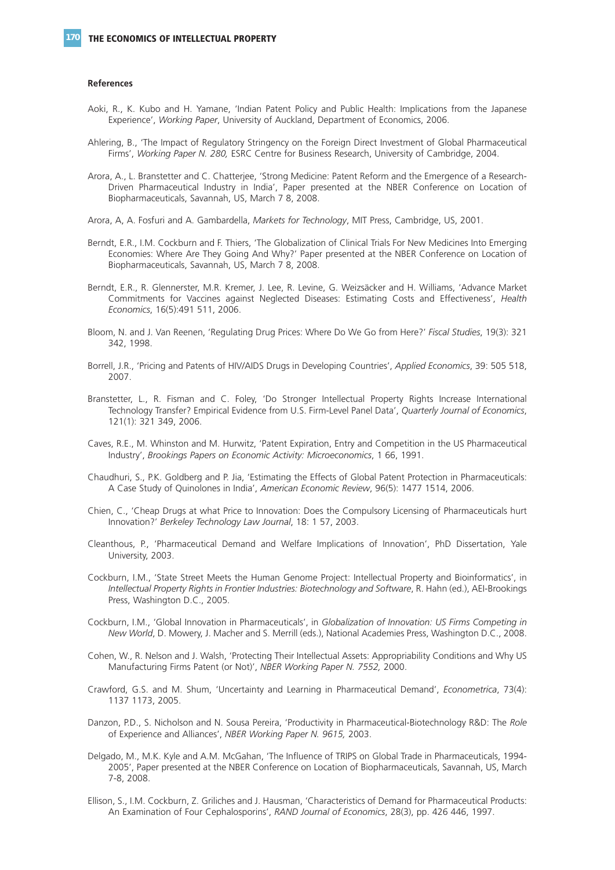#### **References**

- Aoki, R., K. Kubo and H. Yamane, 'Indian Patent Policy and Public Health: Implications from the Japanese Experience', *Working Paper*, University of Auckland, Department of Economics, 2006.
- Ahlering, B., 'The Impact of Regulatory Stringency on the Foreign Direct Investment of Global Pharmaceutical Firms', *Working Paper N. 280,* ESRC Centre for Business Research, University of Cambridge, 2004.
- Arora, A., L. Branstetter and C. Chatterjee, 'Strong Medicine: Patent Reform and the Emergence of a Research-Driven Pharmaceutical Industry in India', Paper presented at the NBER Conference on Location of Biopharmaceuticals, Savannah, US, March 7 8, 2008.
- Arora, A, A. Fosfuri and A. Gambardella, *Markets for Technology*, MIT Press, Cambridge, US, 2001.
- Berndt, E.R., I.M. Cockburn and F. Thiers, 'The Globalization of Clinical Trials For New Medicines Into Emerging Economies: Where Are They Going And Why?' Paper presented at the NBER Conference on Location of Biopharmaceuticals, Savannah, US, March 7 8, 2008.
- Berndt, E.R., R. Glennerster, M.R. Kremer, J. Lee, R. Levine, G. Weizsäcker and H. Williams, 'Advance Market Commitments for Vaccines against Neglected Diseases: Estimating Costs and Effectiveness', *Health Economics*, 16(5):491 511, 2006.
- Bloom, N. and J. Van Reenen, 'Regulating Drug Prices: Where Do We Go from Here?' *Fiscal Studies*, 19(3): 321 342, 1998.
- Borrell, J.R., 'Pricing and Patents of HIV/AIDS Drugs in Developing Countries', *Applied Economics*, 39: 505 518, 2007.
- Branstetter, L., R. Fisman and C. Foley, 'Do Stronger Intellectual Property Rights Increase International Technology Transfer? Empirical Evidence from U.S. Firm-Level Panel Data', *Quarterly Journal of Economics*, 121(1): 321 349, 2006.
- Caves, R.E., M. Whinston and M. Hurwitz, 'Patent Expiration, Entry and Competition in the US Pharmaceutical Industry', *Brookings Papers on Economic Activity: Microeconomics*, 1 66, 1991.
- Chaudhuri, S., P.K. Goldberg and P. Jia, 'Estimating the Effects of Global Patent Protection in Pharmaceuticals: A Case Study of Quinolones in India', *American Economic Review*, 96(5): 1477 1514, 2006.
- Chien, C., 'Cheap Drugs at what Price to Innovation: Does the Compulsory Licensing of Pharmaceuticals hurt Innovation?' *Berkeley Technology Law Journal*, 18: 1 57, 2003.
- Cleanthous, P., 'Pharmaceutical Demand and Welfare Implications of Innovation', PhD Dissertation, Yale University, 2003.
- Cockburn, I.M., 'State Street Meets the Human Genome Project: Intellectual Property and Bioinformatics', in *Intellectual Property Rights in Frontier Industries: Biotechnology and Software*, R. Hahn (ed.), AEI-Brookings Press, Washington D.C., 2005.
- Cockburn, I.M., 'Global Innovation in Pharmaceuticals', in *Globalization of Innovation: US Firms Competing in New World*, D. Mowery, J. Macher and S. Merrill (eds.), National Academies Press, Washington D.C., 2008.
- Cohen, W., R. Nelson and J. Walsh, 'Protecting Their Intellectual Assets: Appropriability Conditions and Why US Manufacturing Firms Patent (or Not)', *NBER Working Paper N. 7552,* 2000.
- Crawford, G.S. and M. Shum, 'Uncertainty and Learning in Pharmaceutical Demand', *Econometrica*, 73(4): 1137 1173, 2005.
- Danzon, P.D., S. Nicholson and N. Sousa Pereira, 'Productivity in Pharmaceutical-Biotechnology R&D: The *Role* of Experience and Alliances', *NBER Working Paper N. 9615,* 2003.
- Delgado, M., M.K. Kyle and A.M. McGahan, 'The Influence of TRIPS on Global Trade in Pharmaceuticals, 1994- 2005', Paper presented at the NBER Conference on Location of Biopharmaceuticals, Savannah, US, March 7-8, 2008.
- Ellison, S., I.M. Cockburn, Z. Griliches and J. Hausman, 'Characteristics of Demand for Pharmaceutical Products: An Examination of Four Cephalosporins', *RAND Journal of Economics*, 28(3), pp. 426 446, 1997.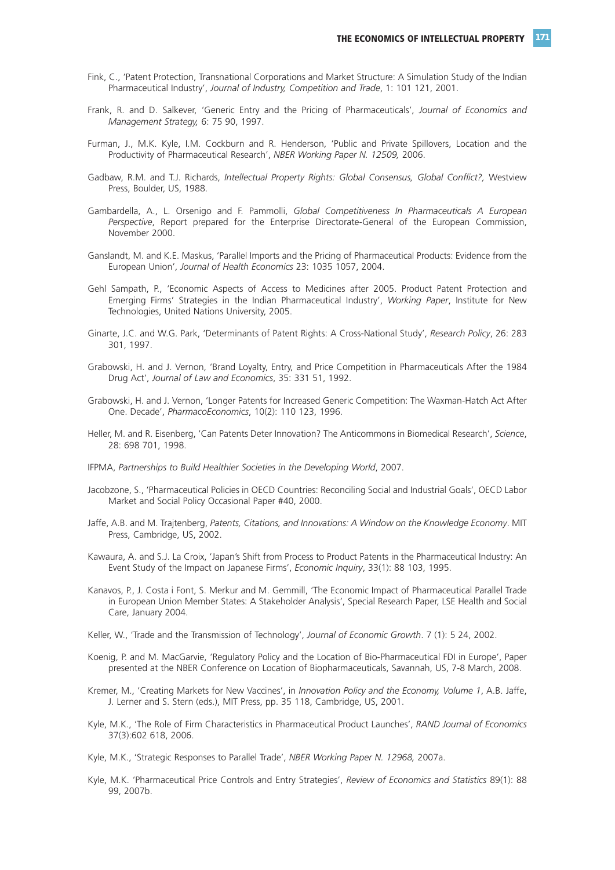- Fink, C., 'Patent Protection, Transnational Corporations and Market Structure: A Simulation Study of the Indian Pharmaceutical Industry', *Journal of Industry, Competition and Trade*, 1: 101 121, 2001.
- Frank, R. and D. Salkever, 'Generic Entry and the Pricing of Pharmaceuticals', *Journal of Economics and Management Strategy,* 6: 75 90, 1997.
- Furman, J., M.K. Kyle, I.M. Cockburn and R. Henderson, 'Public and Private Spillovers, Location and the Productivity of Pharmaceutical Research', *NBER Working Paper N. 12509,* 2006.
- Gadbaw, R.M. and T.J. Richards, *Intellectual Property Rights: Global Consensus, Global Conflict?,* Westview Press, Boulder, US, 1988.
- Gambardella, A., L. Orsenigo and F. Pammolli, *Global Competitiveness In Pharmaceuticals A European Perspective*, Report prepared for the Enterprise Directorate-General of the European Commission, November 2000.
- Ganslandt, M. and K.E. Maskus, 'Parallel Imports and the Pricing of Pharmaceutical Products: Evidence from the European Union', *Journal of Health Economics* 23: 1035 1057, 2004.
- Gehl Sampath, P., 'Economic Aspects of Access to Medicines after 2005. Product Patent Protection and Emerging Firms' Strategies in the Indian Pharmaceutical Industry', *Working Paper*, Institute for New Technologies, United Nations University, 2005.
- Ginarte, J.C. and W.G. Park, 'Determinants of Patent Rights: A Cross-National Study', *Research Policy*, 26: 283 301, 1997.
- Grabowski, H. and J. Vernon, 'Brand Loyalty, Entry, and Price Competition in Pharmaceuticals After the 1984 Drug Act', *Journal of Law and Economics*, 35: 331 51, 1992.
- Grabowski, H. and J. Vernon, 'Longer Patents for Increased Generic Competition: The Waxman-Hatch Act After One. Decade', *PharmacoEconomics*, 10(2): 110 123, 1996.
- Heller, M. and R. Eisenberg, 'Can Patents Deter Innovation? The Anticommons in Biomedical Research', *Science*, 28: 698 701, 1998.
- IFPMA, *Partnerships to Build Healthier Societies in the Developing World*, 2007.
- Jacobzone, S., 'Pharmaceutical Policies in OECD Countries: Reconciling Social and Industrial Goals', OECD Labor Market and Social Policy Occasional Paper #40, 2000.
- Jaffe, A.B. and M. Trajtenberg, *Patents, Citations, and Innovations: A Window on the Knowledge Economy*. MIT Press, Cambridge, US, 2002.
- Kawaura, A. and S.J. La Croix, 'Japan's Shift from Process to Product Patents in the Pharmaceutical Industry: An Event Study of the Impact on Japanese Firms', *Economic Inquiry*, 33(1): 88 103, 1995.
- Kanavos, P., J. Costa i Font, S. Merkur and M. Gemmill, 'The Economic Impact of Pharmaceutical Parallel Trade in European Union Member States: A Stakeholder Analysis', Special Research Paper, LSE Health and Social Care, January 2004.
- Keller, W., 'Trade and the Transmission of Technology', *Journal of Economic Growth*. 7 (1): 5 24, 2002.
- Koenig, P. and M. MacGarvie, 'Regulatory Policy and the Location of Bio-Pharmaceutical FDI in Europe', Paper presented at the NBER Conference on Location of Biopharmaceuticals, Savannah, US, 7-8 March, 2008.
- Kremer, M., 'Creating Markets for New Vaccines', in *Innovation Policy and the Economy, Volume 1*, A.B. Jaffe, J. Lerner and S. Stern (eds.), MIT Press, pp. 35 118, Cambridge, US, 2001.
- Kyle, M.K., 'The Role of Firm Characteristics in Pharmaceutical Product Launches', *RAND Journal of Economics* 37(3):602 618, 2006.
- Kyle, M.K., 'Strategic Responses to Parallel Trade', *NBER Working Paper N. 12968,* 2007a.
- Kyle, M.K. 'Pharmaceutical Price Controls and Entry Strategies', *Review of Economics and Statistics* 89(1): 88 99, 2007b.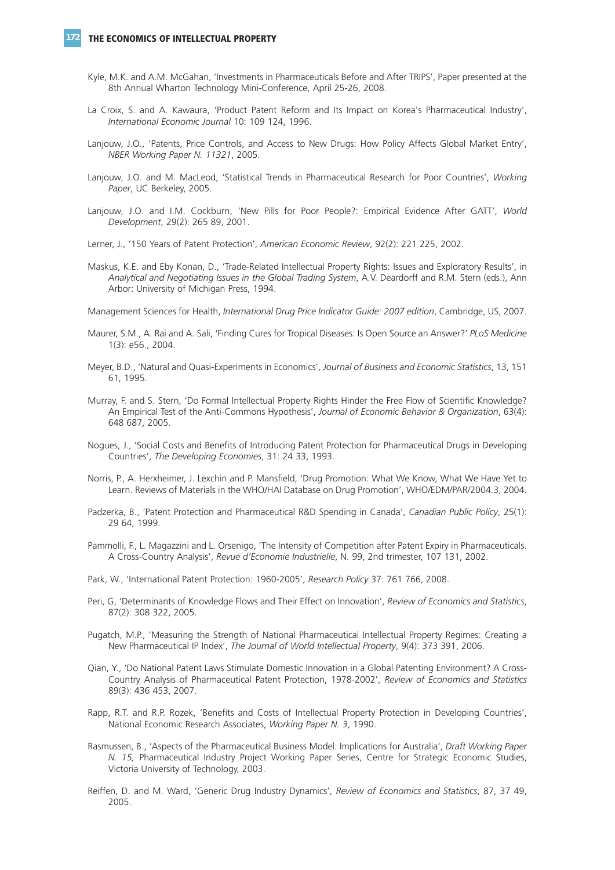#### **172 THE ECONOMICS OF INTELLECTUAL PROPERTY**

- Kyle, M.K. and A.M. McGahan, 'Investments in Pharmaceuticals Before and After TRIPS', Paper presented at the 8th Annual Wharton Technology Mini-Conference, April 25-26, 2008.
- La Croix, S. and A. Kawaura, 'Product Patent Reform and Its Impact on Korea's Pharmaceutical Industry', *International Economic Journal* 10: 109 124, 1996.
- Lanjouw, J.O., 'Patents, Price Controls, and Access to New Drugs: How Policy Affects Global Market Entry', *NBER Working Paper N. 11321*, 2005.
- Lanjouw, J.O. and M. MacLeod, 'Statistical Trends in Pharmaceutical Research for Poor Countries', *Working Paper*, UC Berkeley, 2005.
- Lanjouw, J.O. and I.M. Cockburn, 'New Pills for Poor People?: Empirical Evidence After GATT', *World Development*, 29(2): 265 89, 2001.
- Lerner, J., '150 Years of Patent Protection', *American Economic Review*, 92(2): 221 225, 2002.
- Maskus, K.E. and Eby Konan, D., 'Trade-Related Intellectual Property Rights: Issues and Exploratory Results', in *Analytical and Negotiating Issues in the Global Trading System*, A.V. Deardorff and R.M. Stern (eds.), Ann Arbor: University of Michigan Press, 1994.
- Management Sciences for Health, *International Drug Price Indicator Guide: 2007 edition*, Cambridge, US, 2007.
- Maurer, S.M., A. Rai and A. Sali, 'Finding Cures for Tropical Diseases: Is Open Source an Answer?' *PLoS Medicine* 1(3): e56., 2004.
- Meyer, B.D., 'Natural and Quasi-Experiments in Economics', *Journal of Business and Economic Statistics*, 13, 151 61, 1995.
- Murray, F. and S. Stern, 'Do Formal Intellectual Property Rights Hinder the Free Flow of Scientific Knowledge? An Empirical Test of the Anti-Commons Hypothesis', *Journal of Economic Behavior & Organization*, 63(4): 648 687, 2005.
- Nogues, J., 'Social Costs and Benefits of Introducing Patent Protection for Pharmaceutical Drugs in Developing Countries', *The Developing Economies*, 31: 24 33, 1993.
- Norris, P., A. Herxheimer, J. Lexchin and P. Mansfield, 'Drug Promotion: What We Know, What We Have Yet to Learn. Reviews of Materials in the WHO/HAI Database on Drug Promotion', WHO/EDM/PAR/2004.3, 2004.
- Padzerka, B., 'Patent Protection and Pharmaceutical R&D Spending in Canada', *Canadian Public Policy*, 25(1): 29 64, 1999.
- Pammolli, F., L. Magazzini and L. Orsenigo, 'The Intensity of Competition after Patent Expiry in Pharmaceuticals. A Cross-Country Analysis', *Revue d'Economie Industrielle*, N. 99, 2nd trimester, 107 131, 2002.
- Park, W., 'International Patent Protection: 1960-2005', *Research Policy* 37: 761 766, 2008.
- Peri, G, 'Determinants of Knowledge Flows and Their Effect on Innovation', *Review of Economics and Statistics*, 87(2): 308 322, 2005.
- Pugatch, M.P., 'Measuring the Strength of National Pharmaceutical Intellectual Property Regimes: Creating a New Pharmaceutical IP Index', *The Journal of World Intellectual Property*, 9(4): 373 391, 2006.
- Qian, Y., 'Do National Patent Laws Stimulate Domestic Innovation in a Global Patenting Environment? A Cross-Country Analysis of Pharmaceutical Patent Protection, 1978-2002', *Review of Economics and Statistics* 89(3): 436 453, 2007.
- Rapp, R.T. and R.P. Rozek, 'Benefits and Costs of Intellectual Property Protection in Developing Countries', National Economic Research Associates, *Working Paper N. 3*, 1990.
- Rasmussen, B., 'Aspects of the Pharmaceutical Business Model: Implications for Australia', *Draft Working Paper N. 15,* Pharmaceutical Industry Project Working Paper Series, Centre for Strategic Economic Studies, Victoria University of Technology, 2003.
- Reiffen, D. and M. Ward, 'Generic Drug Industry Dynamics', *Review of Economics and Statistics*, 87, 37 49, 2005.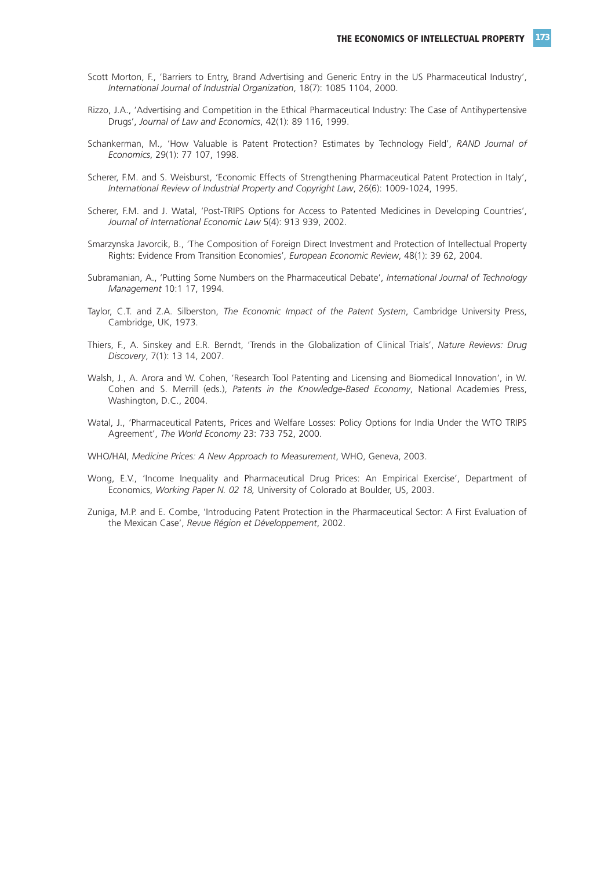- Scott Morton, F., 'Barriers to Entry, Brand Advertising and Generic Entry in the US Pharmaceutical Industry', *International Journal of Industrial Organization*, 18(7): 1085 1104, 2000.
- Rizzo, J.A., 'Advertising and Competition in the Ethical Pharmaceutical Industry: The Case of Antihypertensive Drugs', *Journal of Law and Economics*, 42(1): 89 116, 1999.
- Schankerman, M., 'How Valuable is Patent Protection? Estimates by Technology Field', *RAND Journal of Economics*, 29(1): 77 107, 1998.
- Scherer, F.M. and S. Weisburst, 'Economic Effects of Strengthening Pharmaceutical Patent Protection in Italy', *International Review of Industrial Property and Copyright Law*, 26(6): 1009-1024, 1995.
- Scherer, F.M. and J. Watal, 'Post-TRIPS Options for Access to Patented Medicines in Developing Countries', *Journal of International Economic Law* 5(4): 913 939, 2002.
- Smarzynska Javorcik, B., 'The Composition of Foreign Direct Investment and Protection of Intellectual Property Rights: Evidence From Transition Economies', *European Economic Review*, 48(1): 39 62, 2004.
- Subramanian, A., 'Putting Some Numbers on the Pharmaceutical Debate', *International Journal of Technology Management* 10:1 17, 1994.
- Taylor, C.T. and Z.A. Silberston, *The Economic Impact of the Patent System*, Cambridge University Press, Cambridge, UK, 1973.
- Thiers, F., A. Sinskey and E.R. Berndt, 'Trends in the Globalization of Clinical Trials', *Nature Reviews: Drug Discovery*, 7(1): 13 14, 2007.
- Walsh, J., A. Arora and W. Cohen, 'Research Tool Patenting and Licensing and Biomedical Innovation', in W. Cohen and S. Merrill (eds.), *Patents in the Knowledge-Based Economy*, National Academies Press, Washington, D.C., 2004.
- Watal, J., 'Pharmaceutical Patents, Prices and Welfare Losses: Policy Options for India Under the WTO TRIPS Agreement', *The World Economy* 23: 733 752, 2000.
- WHO/HAI, *Medicine Prices: A New Approach to Measurement*, WHO, Geneva, 2003.
- Wong, E.V., 'Income Inequality and Pharmaceutical Drug Prices: An Empirical Exercise', Department of Economics, *Working Paper N. 02 18,* University of Colorado at Boulder, US, 2003.
- Zuniga, M.P. and E. Combe, 'Introducing Patent Protection in the Pharmaceutical Sector: A First Evaluation of the Mexican Case', *Revue Région et Développement*, 2002.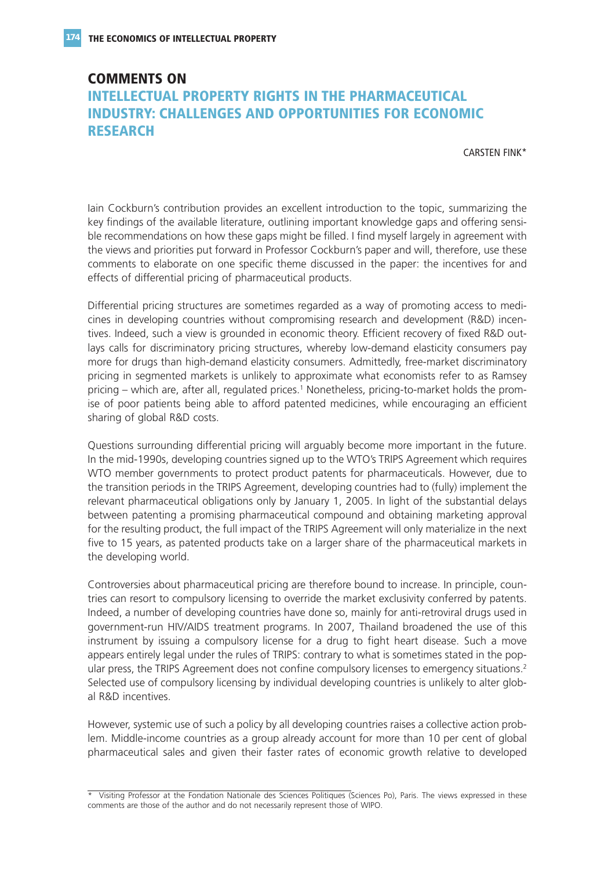## **COMMENTS ON INTELLECTUAL PROPERTY RIGHTS IN THE PHARMACEUTICAL INDUSTRY: CHALLENGES AND OPPORTUNITIES FOR ECONOMIC RESEARCH**

CARSTEN FINK\*

Iain Cockburn's contribution provides an excellent introduction to the topic, summarizing the key findings of the available literature, outlining important knowledge gaps and offering sensible recommendations on how these gaps might be filled. I find myself largely in agreement with the views and priorities put forward in Professor Cockburn's paper and will, therefore, use these comments to elaborate on one specific theme discussed in the paper: the incentives for and effects of differential pricing of pharmaceutical products.

Differential pricing structures are sometimes regarded as a way of promoting access to medicines in developing countries without compromising research and development (R&D) incentives. Indeed, such a view is grounded in economic theory. Efficient recovery of fixed R&D outlays calls for discriminatory pricing structures, whereby low-demand elasticity consumers pay more for drugs than high-demand elasticity consumers. Admittedly, free-market discriminatory pricing in segmented markets is unlikely to approximate what economists refer to as Ramsey pricing – which are, after all, regulated prices.<sup>1</sup> Nonetheless, pricing-to-market holds the promise of poor patients being able to afford patented medicines, while encouraging an efficient sharing of global R&D costs.

Questions surrounding differential pricing will arguably become more important in the future. In the mid-1990s, developing countries signed up to the WTO's TRIPS Agreement which requires WTO member governments to protect product patents for pharmaceuticals. However, due to the transition periods in the TRIPS Agreement, developing countries had to (fully) implement the relevant pharmaceutical obligations only by January 1, 2005. In light of the substantial delays between patenting a promising pharmaceutical compound and obtaining marketing approval for the resulting product, the full impact of the TRIPS Agreement will only materialize in the next five to 15 years, as patented products take on a larger share of the pharmaceutical markets in the developing world.

Controversies about pharmaceutical pricing are therefore bound to increase. In principle, countries can resort to compulsory licensing to override the market exclusivity conferred by patents. Indeed, a number of developing countries have done so, mainly for anti-retroviral drugs used in government-run HIV/AIDS treatment programs. In 2007, Thailand broadened the use of this instrument by issuing a compulsory license for a drug to fight heart disease. Such a move appears entirely legal under the rules of TRIPS: contrary to what is sometimes stated in the popular press, the TRIPS Agreement does not confine compulsory licenses to emergency situations.<sup>2</sup> Selected use of compulsory licensing by individual developing countries is unlikely to alter global R&D incentives.

However, systemic use of such a policy by all developing countries raises a collective action problem. Middle-income countries as a group already account for more than 10 per cent of global pharmaceutical sales and given their faster rates of economic growth relative to developed

<sup>\*</sup> Visiting Professor at the Fondation Nationale des Sciences Politiques (Sciences Po), Paris. The views expressed in these comments are those of the author and do not necessarily represent those of WIPO.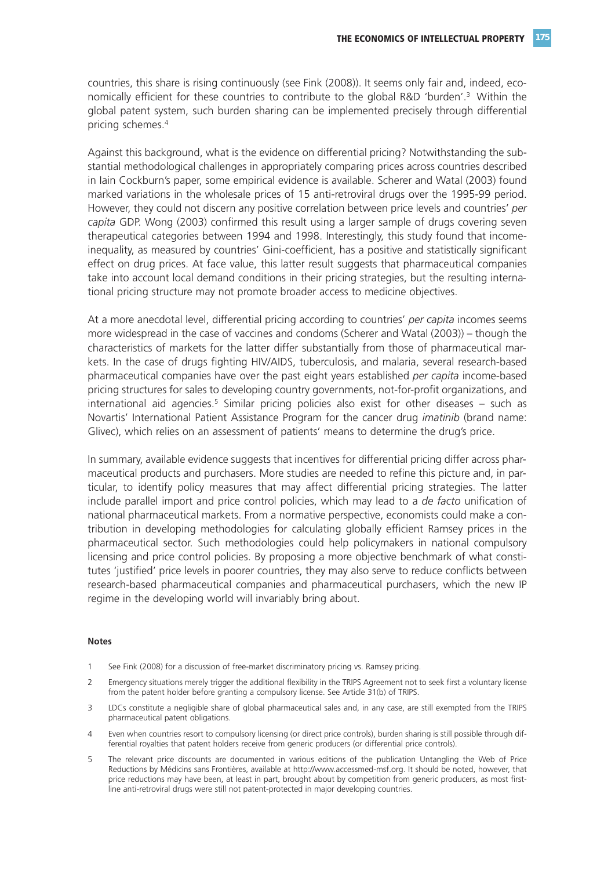countries, this share is rising continuously (see Fink (2008)). It seems only fair and, indeed, economically efficient for these countries to contribute to the global R&D 'burden'.3 Within the global patent system, such burden sharing can be implemented precisely through differential pricing schemes.4

Against this background, what is the evidence on differential pricing? Notwithstanding the substantial methodological challenges in appropriately comparing prices across countries described in Iain Cockburn's paper, some empirical evidence is available. Scherer and Watal (2003) found marked variations in the wholesale prices of 15 anti-retroviral drugs over the 1995-99 period. However, they could not discern any positive correlation between price levels and countries' *per capita* GDP. Wong (2003) confirmed this result using a larger sample of drugs covering seven therapeutical categories between 1994 and 1998. Interestingly, this study found that incomeinequality, as measured by countries' Gini-coefficient, has a positive and statistically significant effect on drug prices. At face value, this latter result suggests that pharmaceutical companies take into account local demand conditions in their pricing strategies, but the resulting international pricing structure may not promote broader access to medicine objectives.

At a more anecdotal level, differential pricing according to countries' *per capita* incomes seems more widespread in the case of vaccines and condoms (Scherer and Watal (2003)) – though the characteristics of markets for the latter differ substantially from those of pharmaceutical markets. In the case of drugs fighting HIV/AIDS, tuberculosis, and malaria, several research-based pharmaceutical companies have over the past eight years established *per capita* income-based pricing structures for sales to developing country governments, not-for-profit organizations, and international aid agencies.<sup>5</sup> Similar pricing policies also exist for other diseases  $-$  such as Novartis' International Patient Assistance Program for the cancer drug *imatinib* (brand name: Glivec), which relies on an assessment of patients' means to determine the drug's price.

In summary, available evidence suggests that incentives for differential pricing differ across pharmaceutical products and purchasers. More studies are needed to refine this picture and, in particular, to identify policy measures that may affect differential pricing strategies. The latter include parallel import and price control policies, which may lead to a *de facto* unification of national pharmaceutical markets. From a normative perspective, economists could make a contribution in developing methodologies for calculating globally efficient Ramsey prices in the pharmaceutical sector. Such methodologies could help policymakers in national compulsory licensing and price control policies. By proposing a more objective benchmark of what constitutes 'justified' price levels in poorer countries, they may also serve to reduce conflicts between research-based pharmaceutical companies and pharmaceutical purchasers, which the new IP regime in the developing world will invariably bring about.

#### **Notes**

- 1 See Fink (2008) for a discussion of free-market discriminatory pricing vs. Ramsey pricing.
- 2 Emergency situations merely trigger the additional flexibility in the TRIPS Agreement not to seek first a voluntary license from the patent holder before granting a compulsory license. See Article 31(b) of TRIPS.
- 3 LDCs constitute a negligible share of global pharmaceutical sales and, in any case, are still exempted from the TRIPS pharmaceutical patent obligations.
- 4 Even when countries resort to compulsory licensing (or direct price controls), burden sharing is still possible through differential royalties that patent holders receive from generic producers (or differential price controls).
- 5 The relevant price discounts are documented in various editions of the publication Untangling the Web of Price Reductions by Médicins sans Frontières, available at http://www.accessmed-msf.org. It should be noted, however, that price reductions may have been, at least in part, brought about by competition from generic producers, as most firstline anti-retroviral drugs were still not patent-protected in major developing countries.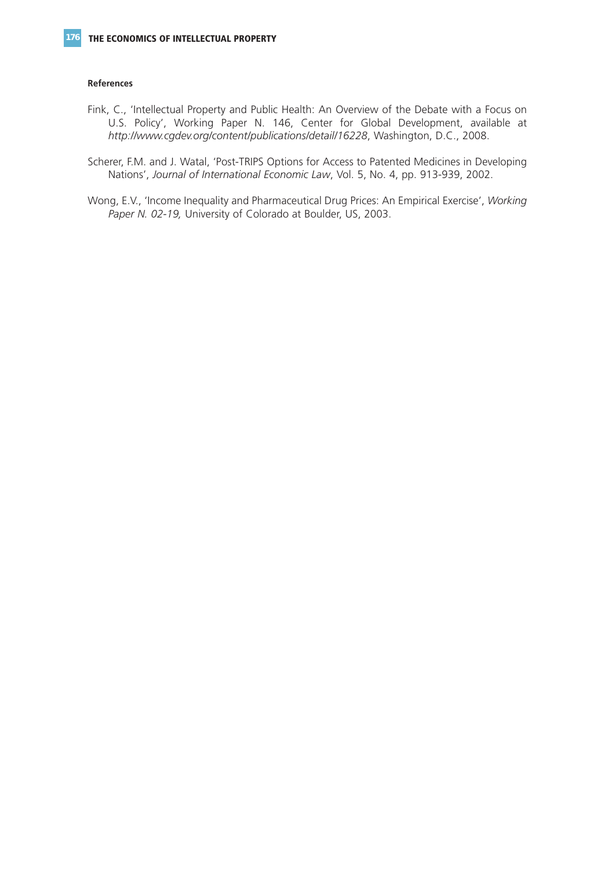#### **References**

- Fink, C., 'Intellectual Property and Public Health: An Overview of the Debate with a Focus on U.S. Policy', Working Paper N. 146, Center for Global Development, available at *http://www.cgdev.org/content/publications/detail/16228*, Washington, D.C., 2008.
- Scherer, F.M. and J. Watal, 'Post-TRIPS Options for Access to Patented Medicines in Developing Nations', *Journal of International Economic Law*, Vol. 5, No. 4, pp. 913-939, 2002.
- Wong, E.V., 'Income Inequality and Pharmaceutical Drug Prices: An Empirical Exercise', *Working Paper N. 02-19,* University of Colorado at Boulder, US, 2003.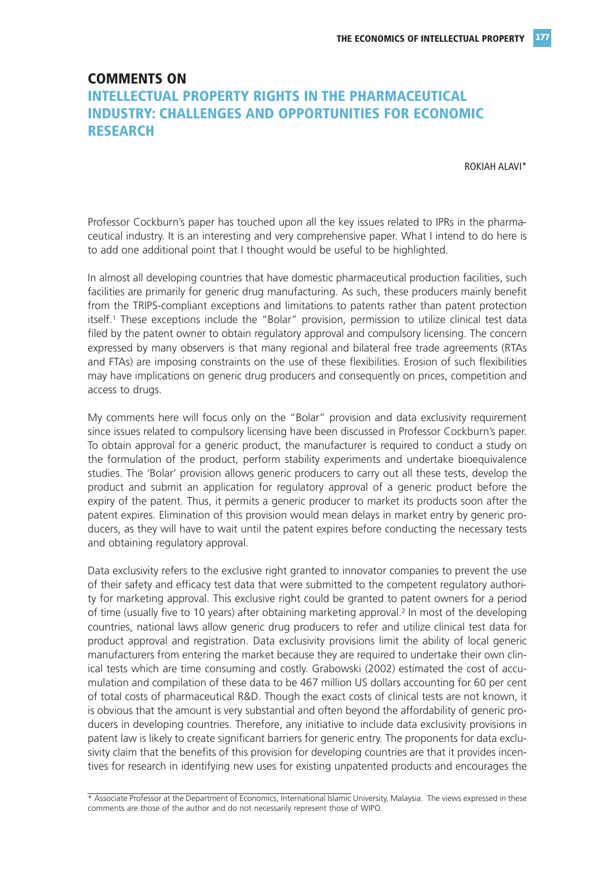## **COMMENTS ON INTELLECTUAL PROPERTY RIGHTS IN THE PHARMACEUTICAL INDUSTRY: CHALLENGES AND OPPORTUNITIES FOR ECONOMIC RESEARCH**

ROKIAH ALAVI\*

Professor Cockburn's paper has touched upon all the key issues related to IPRs in the pharmaceutical industry. It is an interesting and very comprehensive paper. What I intend to do here is to add one additional point that I thought would be useful to be highlighted.

In almost all developing countries that have domestic pharmaceutical production facilities, such facilities are primarily for generic drug manufacturing. As such, these producers mainly benefit from the TRIPS-compliant exceptions and limitations to patents rather than patent protection itself.<sup>1</sup> These exceptions include the "Bolar" provision, permission to utilize clinical test data filed by the patent owner to obtain regulatory approval and compulsory licensing. The concern expressed by many observers is that many regional and bilateral free trade agreements (RTAs and FTAs) are imposing constraints on the use of these flexibilities. Erosion of such flexibilities may have implications on generic drug producers and consequently on prices, competition and access to drugs.

My comments here will focus only on the "Bolar" provision and data exclusivity requirement since issues related to compulsory licensing have been discussed in Professor Cockburn's paper. To obtain approval for a generic product, the manufacturer is required to conduct a study on the formulation of the product, perform stability experiments and undertake bioequivalence studies. The 'Bolar' provision allows generic producers to carry out all these tests, develop the product and submit an application for regulatory approval of a generic product before the expiry of the patent. Thus, it permits a generic producer to market its products soon after the patent expires. Elimination of this provision would mean delays in market entry by generic producers, as they will have to wait until the patent expires before conducting the necessary tests and obtaining regulatory approval.

Data exclusivity refers to the exclusive right granted to innovator companies to prevent the use of their safety and efficacy test data that were submitted to the competent regulatory authority for marketing approval. This exclusive right could be granted to patent owners for a period of time (usually five to 10 years) after obtaining marketing approval.<sup>2</sup> In most of the developing countries, national laws allow generic drug producers to refer and utilize clinical test data for product approval and registration. Data exclusivity provisions limit the ability of local generic manufacturers from entering the market because they are required to undertake their own clinical tests which are time consuming and costly. Grabowski (2002) estimated the cost of accumulation and compilation of these data to be 467 million US dollars accounting for 60 per cent of total costs of pharmaceutical R&D. Though the exact costs of clinical tests are not known, it is obvious that the amount is very substantial and often beyond the affordability of generic producers in developing countries. Therefore, any initiative to include data exclusivity provisions in patent law is likely to create significant barriers for generic entry. The proponents for data exclusivity claim that the benefits of this provision for developing countries are that it provides incentives for research in identifying new uses for existing unpatented products and encourages the

\* Associate Professor at the Department of Economics, International Islamic University, Malaysia. The views expressed in these comments are those of the author and do not necessarily represent those of WIPO.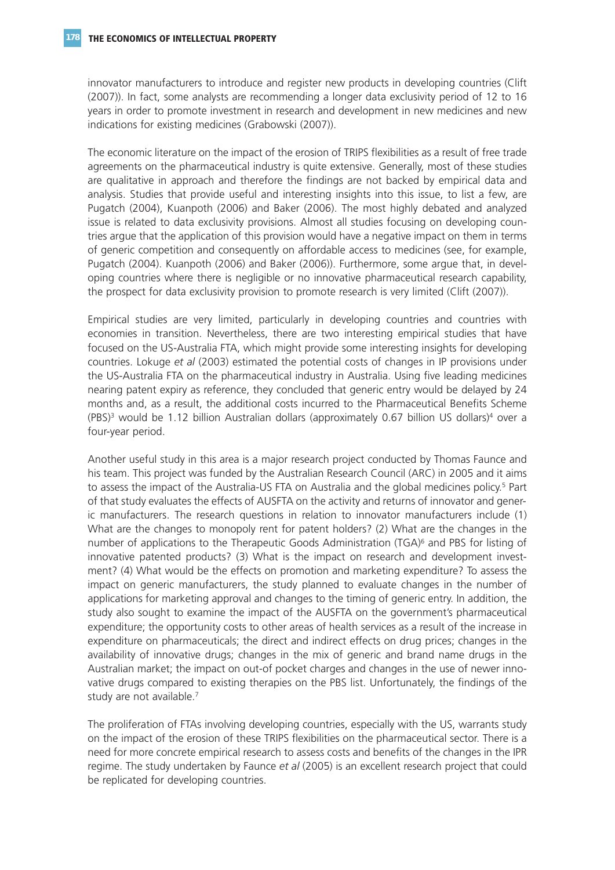innovator manufacturers to introduce and register new products in developing countries (Clift (2007)). In fact, some analysts are recommending a longer data exclusivity period of 12 to 16 years in order to promote investment in research and development in new medicines and new indications for existing medicines (Grabowski (2007)).

The economic literature on the impact of the erosion of TRIPS flexibilities as a result of free trade agreements on the pharmaceutical industry is quite extensive. Generally, most of these studies are qualitative in approach and therefore the findings are not backed by empirical data and analysis. Studies that provide useful and interesting insights into this issue, to list a few, are Pugatch (2004), Kuanpoth (2006) and Baker (2006). The most highly debated and analyzed issue is related to data exclusivity provisions. Almost all studies focusing on developing countries argue that the application of this provision would have a negative impact on them in terms of generic competition and consequently on affordable access to medicines (see, for example, Pugatch (2004). Kuanpoth (2006) and Baker (2006)). Furthermore, some argue that, in developing countries where there is negligible or no innovative pharmaceutical research capability, the prospect for data exclusivity provision to promote research is very limited (Clift (2007)).

Empirical studies are very limited, particularly in developing countries and countries with economies in transition. Nevertheless, there are two interesting empirical studies that have focused on the US-Australia FTA, which might provide some interesting insights for developing countries. Lokuge *et al* (2003) estimated the potential costs of changes in IP provisions under the US-Australia FTA on the pharmaceutical industry in Australia. Using five leading medicines nearing patent expiry as reference, they concluded that generic entry would be delayed by 24 months and, as a result, the additional costs incurred to the Pharmaceutical Benefits Scheme  $(PBS)^3$  would be 1.12 billion Australian dollars (approximately 0.67 billion US dollars)<sup>4</sup> over a four-year period.

Another useful study in this area is a major research project conducted by Thomas Faunce and his team. This project was funded by the Australian Research Council (ARC) in 2005 and it aims to assess the impact of the Australia-US FTA on Australia and the global medicines policy.<sup>5</sup> Part of that study evaluates the effects of AUSFTA on the activity and returns of innovator and generic manufacturers. The research questions in relation to innovator manufacturers include (1) What are the changes to monopoly rent for patent holders? (2) What are the changes in the number of applications to the Therapeutic Goods Administration (TGA)<sup>6</sup> and PBS for listing of innovative patented products? (3) What is the impact on research and development investment? (4) What would be the effects on promotion and marketing expenditure? To assess the impact on generic manufacturers, the study planned to evaluate changes in the number of applications for marketing approval and changes to the timing of generic entry. In addition, the study also sought to examine the impact of the AUSFTA on the government's pharmaceutical expenditure; the opportunity costs to other areas of health services as a result of the increase in expenditure on pharmaceuticals; the direct and indirect effects on drug prices; changes in the availability of innovative drugs; changes in the mix of generic and brand name drugs in the Australian market; the impact on out-of pocket charges and changes in the use of newer innovative drugs compared to existing therapies on the PBS list. Unfortunately, the findings of the study are not available.<sup>7</sup>

The proliferation of FTAs involving developing countries, especially with the US, warrants study on the impact of the erosion of these TRIPS flexibilities on the pharmaceutical sector. There is a need for more concrete empirical research to assess costs and benefits of the changes in the IPR regime. The study undertaken by Faunce *et al* (2005) is an excellent research project that could be replicated for developing countries.